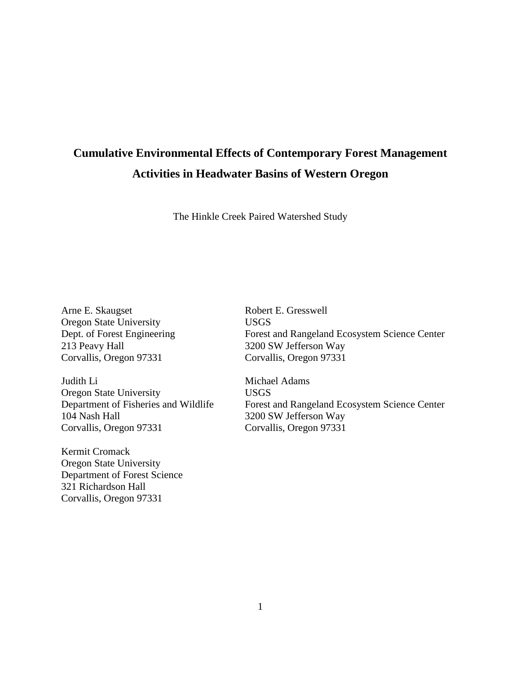# **Cumulative Environmental Effects of Contemporary Forest Management Activities in Headwater Basins of Western Oregon**

The Hinkle Creek Paired Watershed Study

Arne E. Skaugset Robert E. Gresswell Oregon State University<br>
Dept. of Forest Engineering<br>
Forest 213 Peavy Hall 3200 SW Jefferson Way<br>Corvallis, Oregon 97331 Corvallis, Oregon 97331

Judith Li Michael Adams Oregon State University<br>
Department of Fisheries and Wildlife<br>
Forest Corvallis, Oregon 97331 Corvallis, Oregon 97331

Kermit Cromack Oregon State University Department of Forest Science 321 Richardson Hall Corvallis, Oregon 97331

Dept. of Forest Engineering Forest and Rangeland Ecosystem Science Center<br>213 Peavy Hall 3200 SW Jefferson Way Corvallis, Oregon 97331

Department of Fisheries and Wildlife Forest and Rangeland Ecosystem Science Center<br>104 Nash Hall 3200 SW Jefferson Way 3200 SW Jefferson Way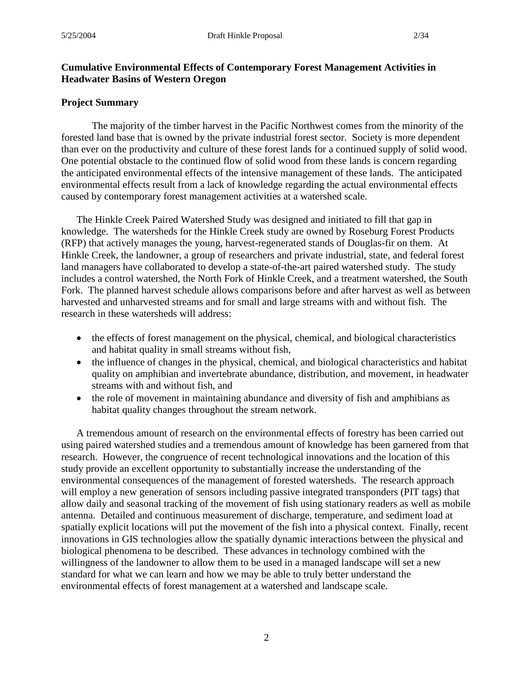## **Cumulative Environmental Effects of Contemporary Forest Management Activities in Headwater Basins of Western Oregon**

#### **Project Summary**

The majority of the timber harvest in the Pacific Northwest comes from the minority of the forested land base that is owned by the private industrial forest sector. Society is more dependent than ever on the productivity and culture of these forest lands for a continued supply of solid wood. One potential obstacle to the continued flow of solid wood from these lands is concern regarding the anticipated environmental effects of the intensive management of these lands. The anticipated environmental effects result from a lack of knowledge regarding the actual environmental effects caused by contemporary forest management activities at a watershed scale.

The Hinkle Creek Paired Watershed Study was designed and initiated to fill that gap in knowledge. The watersheds for the Hinkle Creek study are owned by Roseburg Forest Products (RFP) that actively manages the young, harvest-regenerated stands of Douglas-fir on them. At Hinkle Creek, the landowner, a group of researchers and private industrial, state, and federal forest land managers have collaborated to develop a state-of-the-art paired watershed study. The study includes a control watershed, the North Fork of Hinkle Creek, and a treatment watershed, the South Fork. The planned harvest schedule allows comparisons before and after harvest as well as between harvested and unharvested streams and for small and large streams with and without fish. The research in these watersheds will address:

- the effects of forest management on the physical, chemical, and biological characteristics and habitat quality in small streams without fish,
- the influence of changes in the physical, chemical, and biological characteristics and habitat quality on amphibian and invertebrate abundance, distribution, and movement, in headwater streams with and without fish, and
- the role of movement in maintaining abundance and diversity of fish and amphibians as habitat quality changes throughout the stream network.

A tremendous amount of research on the environmental effects of forestry has been carried out using paired watershed studies and a tremendous amount of knowledge has been garnered from that research. However, the congruence of recent technological innovations and the location of this study provide an excellent opportunity to substantially increase the understanding of the environmental consequences of the management of forested watersheds. The research approach will employ a new generation of sensors including passive integrated transponders (PIT tags) that allow daily and seasonal tracking of the movement of fish using stationary readers as well as mobile antenna. Detailed and continuous measurement of discharge, temperature, and sediment load at spatially explicit locations will put the movement of the fish into a physical context. Finally, recent innovations in GIS technologies allow the spatially dynamic interactions between the physical and biological phenomena to be described. These advances in technology combined with the willingness of the landowner to allow them to be used in a managed landscape will set a new standard for what we can learn and how we may be able to truly better understand the environmental effects of forest management at a watershed and landscape scale.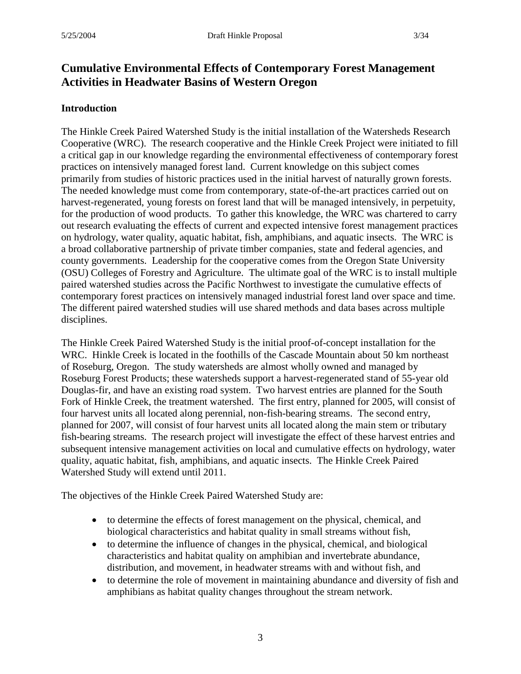# **Cumulative Environmental Effects of Contemporary Forest Management Activities in Headwater Basins of Western Oregon**

#### **Introduction**

The Hinkle Creek Paired Watershed Study is the initial installation of the Watersheds Research Cooperative (WRC). The research cooperative and the Hinkle Creek Project were initiated to fill a critical gap in our knowledge regarding the environmental effectiveness of contemporary forest practices on intensively managed forest land. Current knowledge on this subject comes primarily from studies of historic practices used in the initial harvest of naturally grown forests. The needed knowledge must come from contemporary, state-of-the-art practices carried out on harvest-regenerated, young forests on forest land that will be managed intensively, in perpetuity, for the production of wood products. To gather this knowledge, the WRC was chartered to carry out research evaluating the effects of current and expected intensive forest management practices on hydrology, water quality, aquatic habitat, fish, amphibians, and aquatic insects. The WRC is a broad collaborative partnership of private timber companies, state and federal agencies, and county governments. Leadership for the cooperative comes from the Oregon State University (OSU) Colleges of Forestry and Agriculture. The ultimate goal of the WRC is to install multiple paired watershed studies across the Pacific Northwest to investigate the cumulative effects of contemporary forest practices on intensively managed industrial forest land over space and time. The different paired watershed studies will use shared methods and data bases across multiple disciplines.

The Hinkle Creek Paired Watershed Study is the initial proof-of-concept installation for the WRC. Hinkle Creek is located in the foothills of the Cascade Mountain about 50 km northeast of Roseburg, Oregon. The study watersheds are almost wholly owned and managed by Roseburg Forest Products; these watersheds support a harvest-regenerated stand of 55-year old Douglas-fir, and have an existing road system. Two harvest entries are planned for the South Fork of Hinkle Creek, the treatment watershed. The first entry, planned for 2005, will consist of four harvest units all located along perennial, non-fish-bearing streams. The second entry, planned for 2007, will consist of four harvest units all located along the main stem or tributary fish-bearing streams. The research project will investigate the effect of these harvest entries and subsequent intensive management activities on local and cumulative effects on hydrology, water quality, aquatic habitat, fish, amphibians, and aquatic insects. The Hinkle Creek Paired Watershed Study will extend until 2011.

The objectives of the Hinkle Creek Paired Watershed Study are:

- to determine the effects of forest management on the physical, chemical, and biological characteristics and habitat quality in small streams without fish,
- to determine the influence of changes in the physical, chemical, and biological characteristics and habitat quality on amphibian and invertebrate abundance, distribution, and movement, in headwater streams with and without fish, and
- to determine the role of movement in maintaining abundance and diversity of fish and amphibians as habitat quality changes throughout the stream network.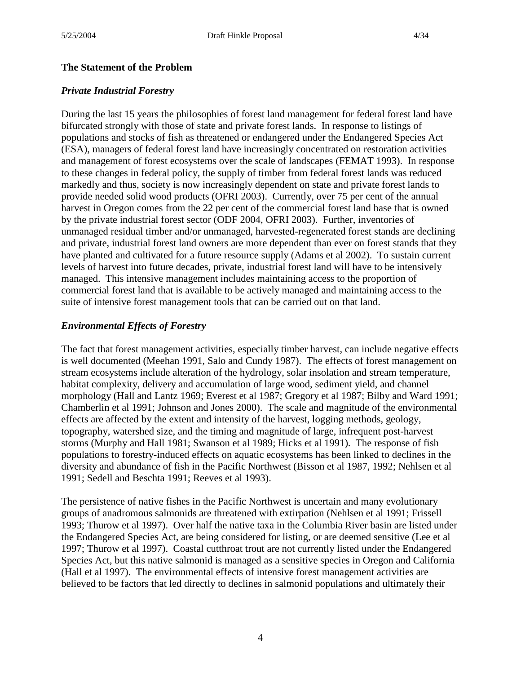#### **The Statement of the Problem**

#### *Private Industrial Forestry*

During the last 15 years the philosophies of forest land management for federal forest land have bifurcated strongly with those of state and private forest lands. In response to listings of populations and stocks of fish as threatened or endangered under the Endangered Species Act (ESA), managers of federal forest land have increasingly concentrated on restoration activities and management of forest ecosystems over the scale of landscapes (FEMAT 1993). In response to these changes in federal policy, the supply of timber from federal forest lands was reduced markedly and thus, society is now increasingly dependent on state and private forest lands to provide needed solid wood products (OFRI 2003). Currently, over 75 per cent of the annual harvest in Oregon comes from the 22 per cent of the commercial forest land base that is owned by the private industrial forest sector (ODF 2004, OFRI 2003). Further, inventories of unmanaged residual timber and/or unmanaged, harvested-regenerated forest stands are declining and private, industrial forest land owners are more dependent than ever on forest stands that they have planted and cultivated for a future resource supply (Adams et al 2002). To sustain current levels of harvest into future decades, private, industrial forest land will have to be intensively managed. This intensive management includes maintaining access to the proportion of commercial forest land that is available to be actively managed and maintaining access to the suite of intensive forest management tools that can be carried out on that land.

#### *Environmental Effects of Forestry*

The fact that forest management activities, especially timber harvest, can include negative effects is well documented (Meehan 1991, Salo and Cundy 1987). The effects of forest management on stream ecosystems include alteration of the hydrology, solar insolation and stream temperature, habitat complexity, delivery and accumulation of large wood, sediment yield, and channel morphology (Hall and Lantz 1969; Everest et al 1987; Gregory et al 1987; Bilby and Ward 1991; Chamberlin et al 1991; Johnson and Jones 2000). The scale and magnitude of the environmental effects are affected by the extent and intensity of the harvest, logging methods, geology, topography, watershed size, and the timing and magnitude of large, infrequent post-harvest storms (Murphy and Hall 1981; Swanson et al 1989; Hicks et al 1991). The response of fish populations to forestry-induced effects on aquatic ecosystems has been linked to declines in the diversity and abundance of fish in the Pacific Northwest (Bisson et al 1987, 1992; Nehlsen et al 1991; Sedell and Beschta 1991; Reeves et al 1993).

The persistence of native fishes in the Pacific Northwest is uncertain and many evolutionary groups of anadromous salmonids are threatened with extirpation (Nehlsen et al 1991; Frissell 1993; Thurow et al 1997). Over half the native taxa in the Columbia River basin are listed under the Endangered Species Act, are being considered for listing, or are deemed sensitive (Lee et al 1997; Thurow et al 1997). Coastal cutthroat trout are not currently listed under the Endangered Species Act, but this native salmonid is managed as a sensitive species in Oregon and California (Hall et al 1997). The environmental effects of intensive forest management activities are believed to be factors that led directly to declines in salmonid populations and ultimately their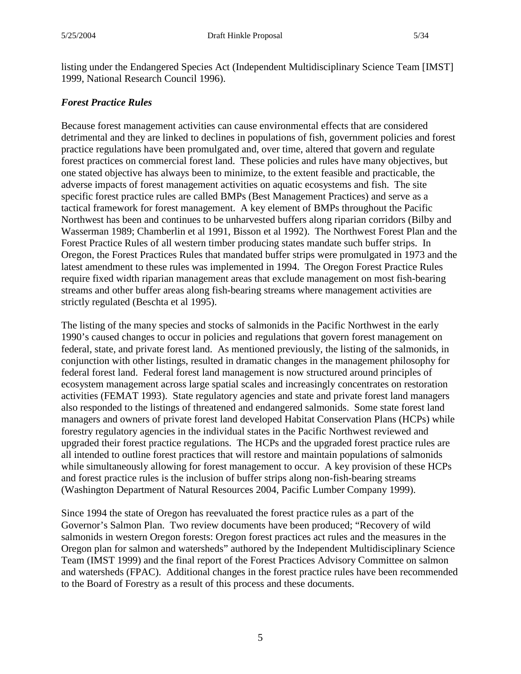listing under the Endangered Species Act (Independent Multidisciplinary Science Team [IMST] 1999, National Research Council 1996).

#### *Forest Practice Rules*

Because forest management activities can cause environmental effects that are considered detrimental and they are linked to declines in populations of fish, government policies and forest practice regulations have been promulgated and, over time, altered that govern and regulate forest practices on commercial forest land. These policies and rules have many objectives, but one stated objective has always been to minimize, to the extent feasible and practicable, the adverse impacts of forest management activities on aquatic ecosystems and fish. The site specific forest practice rules are called BMPs (Best Management Practices) and serve as a tactical framework for forest management. A key element of BMPs throughout the Pacific Northwest has been and continues to be unharvested buffers along riparian corridors (Bilby and Wasserman 1989; Chamberlin et al 1991, Bisson et al 1992). The Northwest Forest Plan and the Forest Practice Rules of all western timber producing states mandate such buffer strips. In Oregon, the Forest Practices Rules that mandated buffer strips were promulgated in 1973 and the latest amendment to these rules was implemented in 1994. The Oregon Forest Practice Rules require fixed width riparian management areas that exclude management on most fish-bearing streams and other buffer areas along fish-bearing streams where management activities are strictly regulated (Beschta et al 1995).

The listing of the many species and stocks of salmonids in the Pacific Northwest in the early 1990's caused changes to occur in policies and regulations that govern forest management on federal, state, and private forest land. As mentioned previously, the listing of the salmonids, in conjunction with other listings, resulted in dramatic changes in the management philosophy for federal forest land. Federal forest land management is now structured around principles of ecosystem management across large spatial scales and increasingly concentrates on restoration activities (FEMAT 1993). State regulatory agencies and state and private forest land managers also responded to the listings of threatened and endangered salmonids. Some state forest land managers and owners of private forest land developed Habitat Conservation Plans (HCPs) while forestry regulatory agencies in the individual states in the Pacific Northwest reviewed and upgraded their forest practice regulations. The HCPs and the upgraded forest practice rules are all intended to outline forest practices that will restore and maintain populations of salmonids while simultaneously allowing for forest management to occur. A key provision of these HCPs and forest practice rules is the inclusion of buffer strips along non-fish-bearing streams (Washington Department of Natural Resources 2004, Pacific Lumber Company 1999).

Since 1994 the state of Oregon has reevaluated the forest practice rules as a part of the Governor's Salmon Plan. Two review documents have been produced; "Recovery of wild salmonids in western Oregon forests: Oregon forest practices act rules and the measures in the Oregon plan for salmon and watersheds" authored by the Independent Multidisciplinary Science Team (IMST 1999) and the final report of the Forest Practices Advisory Committee on salmon and watersheds (FPAC). Additional changes in the forest practice rules have been recommended to the Board of Forestry as a result of this process and these documents.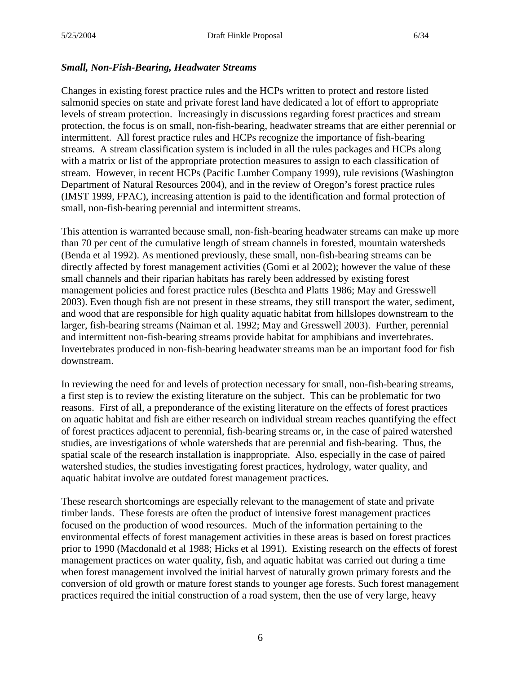#### *Small, Non-Fish-Bearing, Headwater Streams*

Changes in existing forest practice rules and the HCPs written to protect and restore listed salmonid species on state and private forest land have dedicated a lot of effort to appropriate levels of stream protection. Increasingly in discussions regarding forest practices and stream protection, the focus is on small, non-fish-bearing, headwater streams that are either perennial or intermittent. All forest practice rules and HCPs recognize the importance of fish-bearing streams. A stream classification system is included in all the rules packages and HCPs along with a matrix or list of the appropriate protection measures to assign to each classification of stream. However, in recent HCPs (Pacific Lumber Company 1999), rule revisions (Washington Department of Natural Resources 2004), and in the review of Oregon's forest practice rules (IMST 1999, FPAC), increasing attention is paid to the identification and formal protection of small, non-fish-bearing perennial and intermittent streams.

This attention is warranted because small, non-fish-bearing headwater streams can make up more than 70 per cent of the cumulative length of stream channels in forested, mountain watersheds (Benda et al 1992). As mentioned previously, these small, non-fish-bearing streams can be directly affected by forest management activities (Gomi et al 2002); however the value of these small channels and their riparian habitats has rarely been addressed by existing forest management policies and forest practice rules (Beschta and Platts 1986; May and Gresswell 2003). Even though fish are not present in these streams, they still transport the water, sediment, and wood that are responsible for high quality aquatic habitat from hillslopes downstream to the larger, fish-bearing streams (Naiman et al. 1992; May and Gresswell 2003). Further, perennial and intermittent non-fish-bearing streams provide habitat for amphibians and invertebrates. Invertebrates produced in non-fish-bearing headwater streams man be an important food for fish downstream.

In reviewing the need for and levels of protection necessary for small, non-fish-bearing streams, a first step is to review the existing literature on the subject. This can be problematic for two reasons. First of all, a preponderance of the existing literature on the effects of forest practices on aquatic habitat and fish are either research on individual stream reaches quantifying the effect of forest practices adjacent to perennial, fish-bearing streams or, in the case of paired watershed studies, are investigations of whole watersheds that are perennial and fish-bearing. Thus, the spatial scale of the research installation is inappropriate. Also, especially in the case of paired watershed studies, the studies investigating forest practices, hydrology, water quality, and aquatic habitat involve are outdated forest management practices.

These research shortcomings are especially relevant to the management of state and private timber lands. These forests are often the product of intensive forest management practices focused on the production of wood resources. Much of the information pertaining to the environmental effects of forest management activities in these areas is based on forest practices prior to 1990 (Macdonald et al 1988; Hicks et al 1991). Existing research on the effects of forest management practices on water quality, fish, and aquatic habitat was carried out during a time when forest management involved the initial harvest of naturally grown primary forests and the conversion of old growth or mature forest stands to younger age forests. Such forest management practices required the initial construction of a road system, then the use of very large, heavy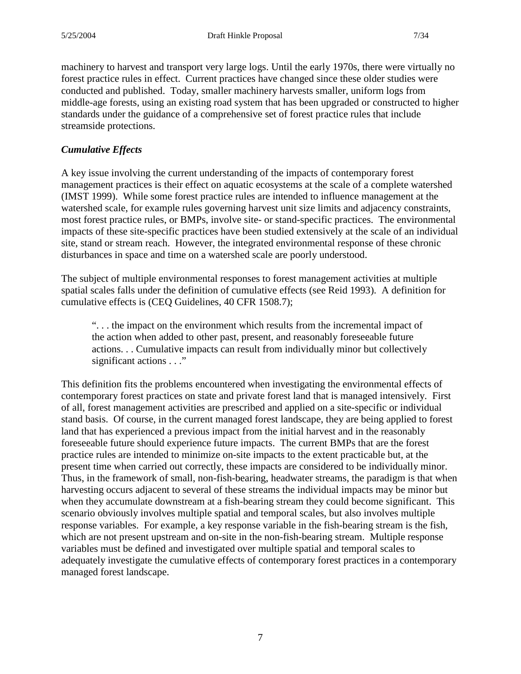machinery to harvest and transport very large logs. Until the early 1970s, there were virtually no forest practice rules in effect. Current practices have changed since these older studies were conducted and published. Today, smaller machinery harvests smaller, uniform logs from middle-age forests, using an existing road system that has been upgraded or constructed to higher standards under the guidance of a comprehensive set of forest practice rules that include streamside protections.

# *Cumulative Effects*

A key issue involving the current understanding of the impacts of contemporary forest management practices is their effect on aquatic ecosystems at the scale of a complete watershed (IMST 1999). While some forest practice rules are intended to influence management at the watershed scale, for example rules governing harvest unit size limits and adjacency constraints, most forest practice rules, or BMPs, involve site- or stand-specific practices. The environmental impacts of these site-specific practices have been studied extensively at the scale of an individual site, stand or stream reach. However, the integrated environmental response of these chronic disturbances in space and time on a watershed scale are poorly understood.

The subject of multiple environmental responses to forest management activities at multiple spatial scales falls under the definition of cumulative effects (see Reid 1993). A definition for cumulative effects is (CEQ Guidelines, 40 CFR 1508.7);

". . . the impact on the environment which results from the incremental impact of the action when added to other past, present, and reasonably foreseeable future actions. . . Cumulative impacts can result from individually minor but collectively significant actions . . ."

This definition fits the problems encountered when investigating the environmental effects of contemporary forest practices on state and private forest land that is managed intensively. First of all, forest management activities are prescribed and applied on a site-specific or individual stand basis. Of course, in the current managed forest landscape, they are being applied to forest land that has experienced a previous impact from the initial harvest and in the reasonably foreseeable future should experience future impacts. The current BMPs that are the forest practice rules are intended to minimize on-site impacts to the extent practicable but, at the present time when carried out correctly, these impacts are considered to be individually minor. Thus, in the framework of small, non-fish-bearing, headwater streams, the paradigm is that when harvesting occurs adjacent to several of these streams the individual impacts may be minor but when they accumulate downstream at a fish-bearing stream they could become significant. This scenario obviously involves multiple spatial and temporal scales, but also involves multiple response variables. For example, a key response variable in the fish-bearing stream is the fish, which are not present upstream and on-site in the non-fish-bearing stream. Multiple response variables must be defined and investigated over multiple spatial and temporal scales to adequately investigate the cumulative effects of contemporary forest practices in a contemporary managed forest landscape.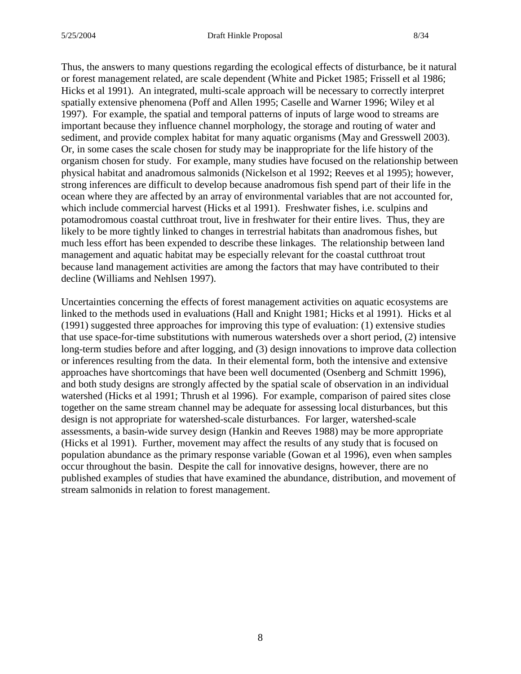Thus, the answers to many questions regarding the ecological effects of disturbance, be it natural or forest management related, are scale dependent (White and Picket 1985; Frissell et al 1986; Hicks et al 1991). An integrated, multi-scale approach will be necessary to correctly interpret spatially extensive phenomena (Poff and Allen 1995; Caselle and Warner 1996; Wiley et al 1997). For example, the spatial and temporal patterns of inputs of large wood to streams are important because they influence channel morphology, the storage and routing of water and sediment, and provide complex habitat for many aquatic organisms (May and Gresswell 2003). Or, in some cases the scale chosen for study may be inappropriate for the life history of the organism chosen for study. For example, many studies have focused on the relationship between physical habitat and anadromous salmonids (Nickelson et al 1992; Reeves et al 1995); however, strong inferences are difficult to develop because anadromous fish spend part of their life in the ocean where they are affected by an array of environmental variables that are not accounted for, which include commercial harvest (Hicks et al 1991). Freshwater fishes, i.e. sculpins and potamodromous coastal cutthroat trout, live in freshwater for their entire lives. Thus, they are likely to be more tightly linked to changes in terrestrial habitats than anadromous fishes, but much less effort has been expended to describe these linkages. The relationship between land management and aquatic habitat may be especially relevant for the coastal cutthroat trout because land management activities are among the factors that may have contributed to their decline (Williams and Nehlsen 1997).

Uncertainties concerning the effects of forest management activities on aquatic ecosystems are linked to the methods used in evaluations (Hall and Knight 1981; Hicks et al 1991). Hicks et al (1991) suggested three approaches for improving this type of evaluation: (1) extensive studies that use space-for-time substitutions with numerous watersheds over a short period, (2) intensive long-term studies before and after logging, and (3) design innovations to improve data collection or inferences resulting from the data. In their elemental form, both the intensive and extensive approaches have shortcomings that have been well documented (Osenberg and Schmitt 1996), and both study designs are strongly affected by the spatial scale of observation in an individual watershed (Hicks et al 1991; Thrush et al 1996). For example, comparison of paired sites close together on the same stream channel may be adequate for assessing local disturbances, but this design is not appropriate for watershed-scale disturbances. For larger, watershed-scale assessments, a basin-wide survey design (Hankin and Reeves 1988) may be more appropriate (Hicks et al 1991). Further, movement may affect the results of any study that is focused on population abundance as the primary response variable (Gowan et al 1996), even when samples occur throughout the basin. Despite the call for innovative designs, however, there are no published examples of studies that have examined the abundance, distribution, and movement of stream salmonids in relation to forest management.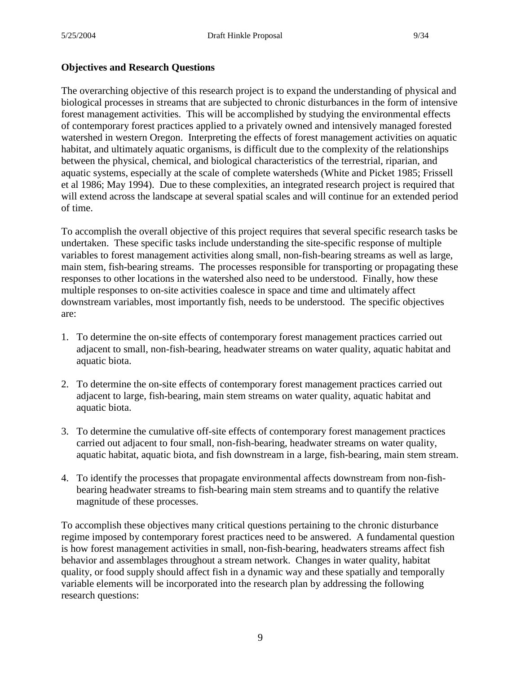# **Objectives and Research Questions**

The overarching objective of this research project is to expand the understanding of physical and biological processes in streams that are subjected to chronic disturbances in the form of intensive forest management activities. This will be accomplished by studying the environmental effects of contemporary forest practices applied to a privately owned and intensively managed forested watershed in western Oregon. Interpreting the effects of forest management activities on aquatic habitat, and ultimately aquatic organisms, is difficult due to the complexity of the relationships between the physical, chemical, and biological characteristics of the terrestrial, riparian, and aquatic systems, especially at the scale of complete watersheds (White and Picket 1985; Frissell et al 1986; May 1994). Due to these complexities, an integrated research project is required that will extend across the landscape at several spatial scales and will continue for an extended period of time.

To accomplish the overall objective of this project requires that several specific research tasks be undertaken. These specific tasks include understanding the site-specific response of multiple variables to forest management activities along small, non-fish-bearing streams as well as large, main stem, fish-bearing streams. The processes responsible for transporting or propagating these responses to other locations in the watershed also need to be understood. Finally, how these multiple responses to on-site activities coalesce in space and time and ultimately affect downstream variables, most importantly fish, needs to be understood. The specific objectives are:

- 1. To determine the on-site effects of contemporary forest management practices carried out adjacent to small, non-fish-bearing, headwater streams on water quality, aquatic habitat and aquatic biota.
- 2. To determine the on-site effects of contemporary forest management practices carried out adjacent to large, fish-bearing, main stem streams on water quality, aquatic habitat and aquatic biota.
- 3. To determine the cumulative off-site effects of contemporary forest management practices carried out adjacent to four small, non-fish-bearing, headwater streams on water quality, aquatic habitat, aquatic biota, and fish downstream in a large, fish-bearing, main stem stream.
- 4. To identify the processes that propagate environmental affects downstream from non-fishbearing headwater streams to fish-bearing main stem streams and to quantify the relative magnitude of these processes.

To accomplish these objectives many critical questions pertaining to the chronic disturbance regime imposed by contemporary forest practices need to be answered. A fundamental question is how forest management activities in small, non-fish-bearing, headwaters streams affect fish behavior and assemblages throughout a stream network. Changes in water quality, habitat quality, or food supply should affect fish in a dynamic way and these spatially and temporally variable elements will be incorporated into the research plan by addressing the following research questions: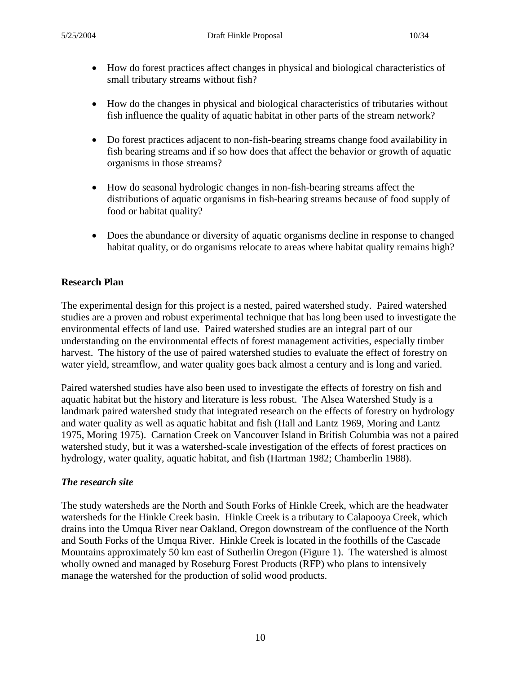- How do forest practices affect changes in physical and biological characteristics of small tributary streams without fish?
- How do the changes in physical and biological characteristics of tributaries without fish influence the quality of aquatic habitat in other parts of the stream network?
- Do forest practices adjacent to non-fish-bearing streams change food availability in fish bearing streams and if so how does that affect the behavior or growth of aquatic organisms in those streams?
- How do seasonal hydrologic changes in non-fish-bearing streams affect the distributions of aquatic organisms in fish-bearing streams because of food supply of food or habitat quality?
- Does the abundance or diversity of aquatic organisms decline in response to changed habitat quality, or do organisms relocate to areas where habitat quality remains high?

# **Research Plan**

The experimental design for this project is a nested, paired watershed study. Paired watershed studies are a proven and robust experimental technique that has long been used to investigate the environmental effects of land use. Paired watershed studies are an integral part of our understanding on the environmental effects of forest management activities, especially timber harvest. The history of the use of paired watershed studies to evaluate the effect of forestry on water yield, streamflow, and water quality goes back almost a century and is long and varied.

Paired watershed studies have also been used to investigate the effects of forestry on fish and aquatic habitat but the history and literature is less robust. The Alsea Watershed Study is a landmark paired watershed study that integrated research on the effects of forestry on hydrology and water quality as well as aquatic habitat and fish (Hall and Lantz 1969, Moring and Lantz 1975, Moring 1975). Carnation Creek on Vancouver Island in British Columbia was not a paired watershed study, but it was a watershed-scale investigation of the effects of forest practices on hydrology, water quality, aquatic habitat, and fish (Hartman 1982; Chamberlin 1988).

## *The research site*

The study watersheds are the North and South Forks of Hinkle Creek, which are the headwater watersheds for the Hinkle Creek basin. Hinkle Creek is a tributary to Calapooya Creek, which drains into the Umqua River near Oakland, Oregon downstream of the confluence of the North and South Forks of the Umqua River. Hinkle Creek is located in the foothills of the Cascade Mountains approximately 50 km east of Sutherlin Oregon (Figure 1). The watershed is almost wholly owned and managed by Roseburg Forest Products (RFP) who plans to intensively manage the watershed for the production of solid wood products.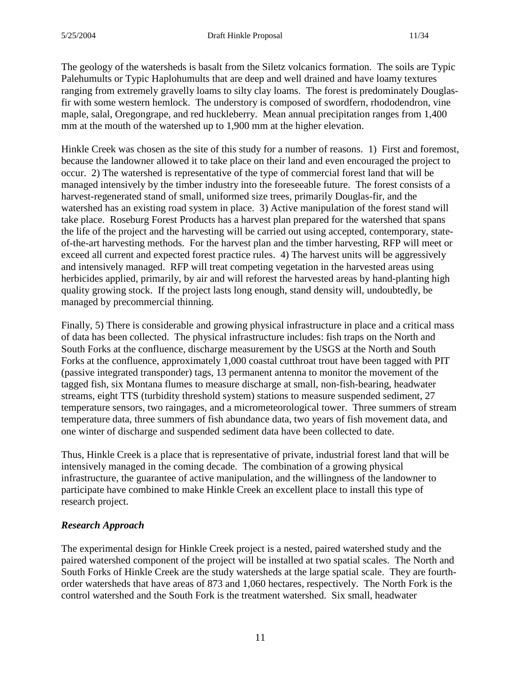The geology of the watersheds is basalt from the Siletz volcanics formation. The soils are Typic Palehumults or Typic Haplohumults that are deep and well drained and have loamy textures ranging from extremely gravelly loams to silty clay loams. The forest is predominately Douglasfir with some western hemlock. The understory is composed of swordfern, rhododendron, vine maple, salal, Oregongrape, and red huckleberry. Mean annual precipitation ranges from 1,400 mm at the mouth of the watershed up to 1,900 mm at the higher elevation.

Hinkle Creek was chosen as the site of this study for a number of reasons. 1) First and foremost, because the landowner allowed it to take place on their land and even encouraged the project to occur. 2) The watershed is representative of the type of commercial forest land that will be managed intensively by the timber industry into the foreseeable future. The forest consists of a harvest-regenerated stand of small, uniformed size trees, primarily Douglas-fir, and the watershed has an existing road system in place. 3) Active manipulation of the forest stand will take place. Roseburg Forest Products has a harvest plan prepared for the watershed that spans the life of the project and the harvesting will be carried out using accepted, contemporary, stateof-the-art harvesting methods. For the harvest plan and the timber harvesting, RFP will meet or exceed all current and expected forest practice rules. 4) The harvest units will be aggressively and intensively managed. RFP will treat competing vegetation in the harvested areas using herbicides applied, primarily, by air and will reforest the harvested areas by hand-planting high quality growing stock. If the project lasts long enough, stand density will, undoubtedly, be managed by precommercial thinning.

Finally, 5) There is considerable and growing physical infrastructure in place and a critical mass of data has been collected. The physical infrastructure includes: fish traps on the North and South Forks at the confluence, discharge measurement by the USGS at the North and South Forks at the confluence, approximately 1,000 coastal cutthroat trout have been tagged with PIT (passive integrated transponder) tags, 13 permanent antenna to monitor the movement of the tagged fish, six Montana flumes to measure discharge at small, non-fish-bearing, headwater streams, eight TTS (turbidity threshold system) stations to measure suspended sediment, 27 temperature sensors, two raingages, and a micrometeorological tower. Three summers of stream temperature data, three summers of fish abundance data, two years of fish movement data, and one winter of discharge and suspended sediment data have been collected to date.

Thus, Hinkle Creek is a place that is representative of private, industrial forest land that will be intensively managed in the coming decade. The combination of a growing physical infrastructure, the guarantee of active manipulation, and the willingness of the landowner to participate have combined to make Hinkle Creek an excellent place to install this type of research project.

## *Research Approach*

The experimental design for Hinkle Creek project is a nested, paired watershed study and the paired watershed component of the project will be installed at two spatial scales. The North and South Forks of Hinkle Creek are the study watersheds at the large spatial scale. They are fourthorder watersheds that have areas of 873 and 1,060 hectares, respectively. The North Fork is the control watershed and the South Fork is the treatment watershed. Six small, headwater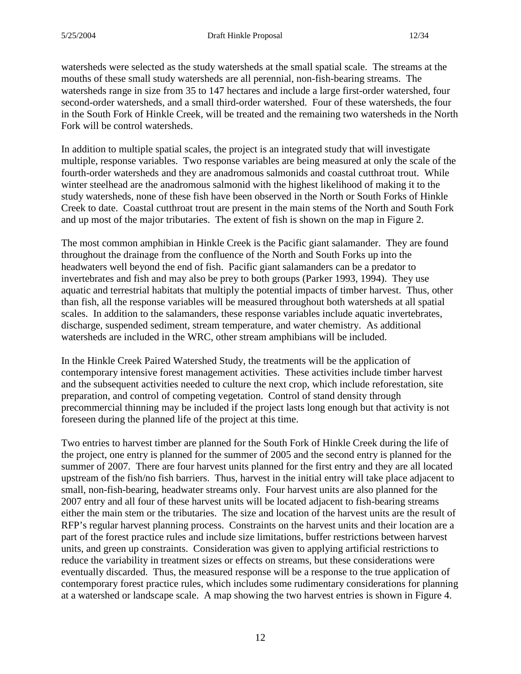watersheds were selected as the study watersheds at the small spatial scale. The streams at the mouths of these small study watersheds are all perennial, non-fish-bearing streams. The watersheds range in size from 35 to 147 hectares and include a large first-order watershed, four second-order watersheds, and a small third-order watershed. Four of these watersheds, the four in the South Fork of Hinkle Creek, will be treated and the remaining two watersheds in the North Fork will be control watersheds.

In addition to multiple spatial scales, the project is an integrated study that will investigate multiple, response variables. Two response variables are being measured at only the scale of the fourth-order watersheds and they are anadromous salmonids and coastal cutthroat trout. While winter steelhead are the anadromous salmonid with the highest likelihood of making it to the study watersheds, none of these fish have been observed in the North or South Forks of Hinkle Creek to date. Coastal cutthroat trout are present in the main stems of the North and South Fork and up most of the major tributaries. The extent of fish is shown on the map in Figure 2.

The most common amphibian in Hinkle Creek is the Pacific giant salamander. They are found throughout the drainage from the confluence of the North and South Forks up into the headwaters well beyond the end of fish. Pacific giant salamanders can be a predator to invertebrates and fish and may also be prey to both groups (Parker 1993, 1994). They use aquatic and terrestrial habitats that multiply the potential impacts of timber harvest. Thus, other than fish, all the response variables will be measured throughout both watersheds at all spatial scales. In addition to the salamanders, these response variables include aquatic invertebrates, discharge, suspended sediment, stream temperature, and water chemistry. As additional watersheds are included in the WRC, other stream amphibians will be included.

In the Hinkle Creek Paired Watershed Study, the treatments will be the application of contemporary intensive forest management activities. These activities include timber harvest and the subsequent activities needed to culture the next crop, which include reforestation, site preparation, and control of competing vegetation. Control of stand density through precommercial thinning may be included if the project lasts long enough but that activity is not foreseen during the planned life of the project at this time.

Two entries to harvest timber are planned for the South Fork of Hinkle Creek during the life of the project, one entry is planned for the summer of 2005 and the second entry is planned for the summer of 2007. There are four harvest units planned for the first entry and they are all located upstream of the fish/no fish barriers. Thus, harvest in the initial entry will take place adjacent to small, non-fish-bearing, headwater streams only. Four harvest units are also planned for the 2007 entry and all four of these harvest units will be located adjacent to fish-bearing streams either the main stem or the tributaries. The size and location of the harvest units are the result of RFP's regular harvest planning process. Constraints on the harvest units and their location are a part of the forest practice rules and include size limitations, buffer restrictions between harvest units, and green up constraints. Consideration was given to applying artificial restrictions to reduce the variability in treatment sizes or effects on streams, but these considerations were eventually discarded. Thus, the measured response will be a response to the true application of contemporary forest practice rules, which includes some rudimentary considerations for planning at a watershed or landscape scale. A map showing the two harvest entries is shown in Figure 4.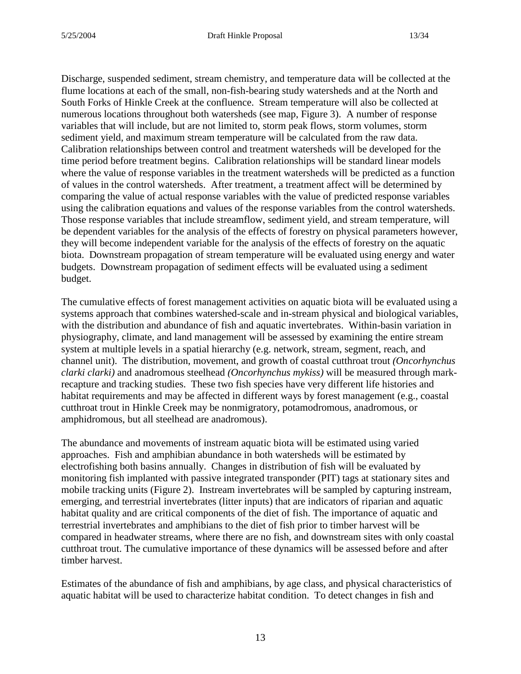Discharge, suspended sediment, stream chemistry, and temperature data will be collected at the flume locations at each of the small, non-fish-bearing study watersheds and at the North and South Forks of Hinkle Creek at the confluence. Stream temperature will also be collected at numerous locations throughout both watersheds (see map, Figure 3). A number of response variables that will include, but are not limited to, storm peak flows, storm volumes, storm sediment yield, and maximum stream temperature will be calculated from the raw data. Calibration relationships between control and treatment watersheds will be developed for the time period before treatment begins. Calibration relationships will be standard linear models where the value of response variables in the treatment watersheds will be predicted as a function of values in the control watersheds. After treatment, a treatment affect will be determined by comparing the value of actual response variables with the value of predicted response variables using the calibration equations and values of the response variables from the control watersheds. Those response variables that include streamflow, sediment yield, and stream temperature, will be dependent variables for the analysis of the effects of forestry on physical parameters however, they will become independent variable for the analysis of the effects of forestry on the aquatic biota. Downstream propagation of stream temperature will be evaluated using energy and water budgets. Downstream propagation of sediment effects will be evaluated using a sediment budget.

The cumulative effects of forest management activities on aquatic biota will be evaluated using a systems approach that combines watershed-scale and in-stream physical and biological variables, with the distribution and abundance of fish and aquatic invertebrates. Within-basin variation in physiography, climate, and land management will be assessed by examining the entire stream system at multiple levels in a spatial hierarchy (e.g. network, stream, segment, reach, and channel unit). The distribution, movement, and growth of coastal cutthroat trout *(Oncorhynchus clarki clarki)* and anadromous steelhead *(Oncorhynchus mykiss)* will be measured through markrecapture and tracking studies. These two fish species have very different life histories and habitat requirements and may be affected in different ways by forest management (e.g., coastal cutthroat trout in Hinkle Creek may be nonmigratory, potamodromous, anadromous, or amphidromous, but all steelhead are anadromous).

The abundance and movements of instream aquatic biota will be estimated using varied approaches. Fish and amphibian abundance in both watersheds will be estimated by electrofishing both basins annually. Changes in distribution of fish will be evaluated by monitoring fish implanted with passive integrated transponder (PIT) tags at stationary sites and mobile tracking units (Figure 2). Instream invertebrates will be sampled by capturing instream, emerging, and terrestrial invertebrates (litter inputs) that are indicators of riparian and aquatic habitat quality and are critical components of the diet of fish. The importance of aquatic and terrestrial invertebrates and amphibians to the diet of fish prior to timber harvest will be compared in headwater streams, where there are no fish, and downstream sites with only coastal cutthroat trout. The cumulative importance of these dynamics will be assessed before and after timber harvest.

Estimates of the abundance of fish and amphibians, by age class, and physical characteristics of aquatic habitat will be used to characterize habitat condition. To detect changes in fish and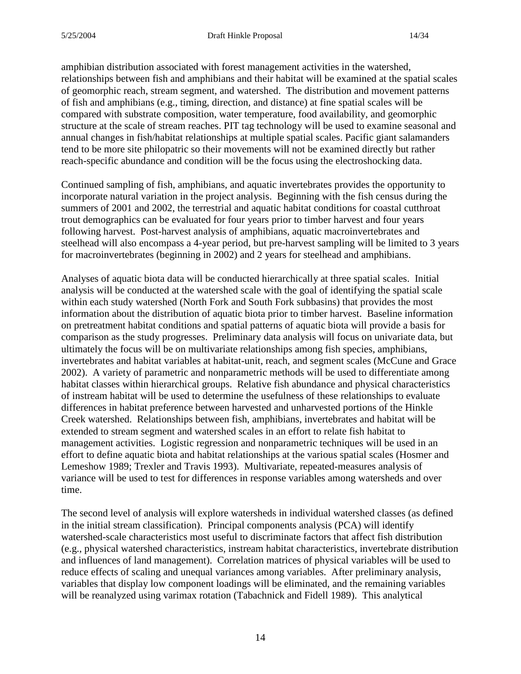amphibian distribution associated with forest management activities in the watershed, relationships between fish and amphibians and their habitat will be examined at the spatial scales of geomorphic reach, stream segment, and watershed. The distribution and movement patterns of fish and amphibians (e.g., timing, direction, and distance) at fine spatial scales will be compared with substrate composition, water temperature, food availability, and geomorphic structure at the scale of stream reaches. PIT tag technology will be used to examine seasonal and annual changes in fish/habitat relationships at multiple spatial scales. Pacific giant salamanders tend to be more site philopatric so their movements will not be examined directly but rather reach-specific abundance and condition will be the focus using the electroshocking data.

Continued sampling of fish, amphibians, and aquatic invertebrates provides the opportunity to incorporate natural variation in the project analysis. Beginning with the fish census during the summers of 2001 and 2002, the terrestrial and aquatic habitat conditions for coastal cutthroat trout demographics can be evaluated for four years prior to timber harvest and four years following harvest. Post-harvest analysis of amphibians, aquatic macroinvertebrates and steelhead will also encompass a 4-year period, but pre-harvest sampling will be limited to 3 years for macroinvertebrates (beginning in 2002) and 2 years for steelhead and amphibians.

Analyses of aquatic biota data will be conducted hierarchically at three spatial scales. Initial analysis will be conducted at the watershed scale with the goal of identifying the spatial scale within each study watershed (North Fork and South Fork subbasins) that provides the most information about the distribution of aquatic biota prior to timber harvest. Baseline information on pretreatment habitat conditions and spatial patterns of aquatic biota will provide a basis for comparison as the study progresses. Preliminary data analysis will focus on univariate data, but ultimately the focus will be on multivariate relationships among fish species, amphibians, invertebrates and habitat variables at habitat-unit, reach, and segment scales (McCune and Grace 2002). A variety of parametric and nonparametric methods will be used to differentiate among habitat classes within hierarchical groups. Relative fish abundance and physical characteristics of instream habitat will be used to determine the usefulness of these relationships to evaluate differences in habitat preference between harvested and unharvested portions of the Hinkle Creek watershed. Relationships between fish, amphibians, invertebrates and habitat will be extended to stream segment and watershed scales in an effort to relate fish habitat to management activities. Logistic regression and nonparametric techniques will be used in an effort to define aquatic biota and habitat relationships at the various spatial scales (Hosmer and Lemeshow 1989; Trexler and Travis 1993). Multivariate, repeated-measures analysis of variance will be used to test for differences in response variables among watersheds and over time.

The second level of analysis will explore watersheds in individual watershed classes (as defined in the initial stream classification). Principal components analysis (PCA) will identify watershed-scale characteristics most useful to discriminate factors that affect fish distribution (e.g., physical watershed characteristics, instream habitat characteristics, invertebrate distribution and influences of land management). Correlation matrices of physical variables will be used to reduce effects of scaling and unequal variances among variables. After preliminary analysis, variables that display low component loadings will be eliminated, and the remaining variables will be reanalyzed using varimax rotation (Tabachnick and Fidell 1989). This analytical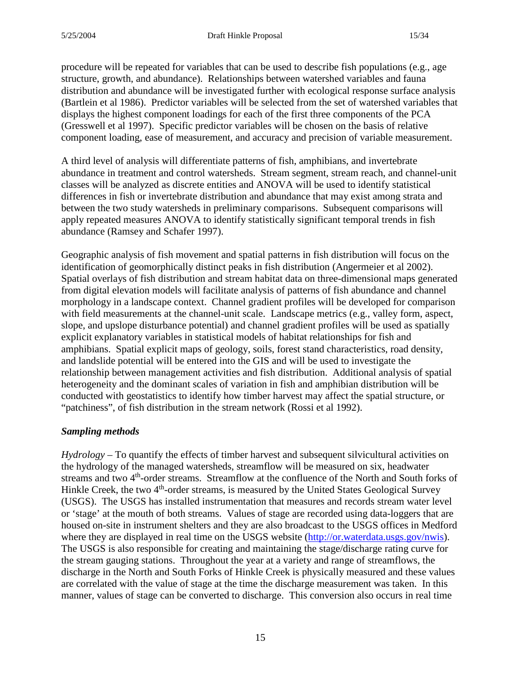procedure will be repeated for variables that can be used to describe fish populations (e.g., age structure, growth, and abundance). Relationships between watershed variables and fauna distribution and abundance will be investigated further with ecological response surface analysis (Bartlein et al 1986). Predictor variables will be selected from the set of watershed variables that displays the highest component loadings for each of the first three components of the PCA (Gresswell et al 1997). Specific predictor variables will be chosen on the basis of relative component loading, ease of measurement, and accuracy and precision of variable measurement.

A third level of analysis will differentiate patterns of fish, amphibians, and invertebrate abundance in treatment and control watersheds. Stream segment, stream reach, and channel-unit classes will be analyzed as discrete entities and ANOVA will be used to identify statistical differences in fish or invertebrate distribution and abundance that may exist among strata and between the two study watersheds in preliminary comparisons. Subsequent comparisons will apply repeated measures ANOVA to identify statistically significant temporal trends in fish abundance (Ramsey and Schafer 1997).

Geographic analysis of fish movement and spatial patterns in fish distribution will focus on the identification of geomorphically distinct peaks in fish distribution (Angermeier et al 2002). Spatial overlays of fish distribution and stream habitat data on three-dimensional maps generated from digital elevation models will facilitate analysis of patterns of fish abundance and channel morphology in a landscape context. Channel gradient profiles will be developed for comparison with field measurements at the channel-unit scale. Landscape metrics (e.g., valley form, aspect, slope, and upslope disturbance potential) and channel gradient profiles will be used as spatially explicit explanatory variables in statistical models of habitat relationships for fish and amphibians. Spatial explicit maps of geology, soils, forest stand characteristics, road density, and landslide potential will be entered into the GIS and will be used to investigate the relationship between management activities and fish distribution. Additional analysis of spatial heterogeneity and the dominant scales of variation in fish and amphibian distribution will be conducted with geostatistics to identify how timber harvest may affect the spatial structure, or "patchiness", of fish distribution in the stream network (Rossi et al 1992).

## *Sampling methods*

*Hydrology* – To quantify the effects of timber harvest and subsequent silvicultural activities on the hydrology of the managed watersheds, streamflow will be measured on six, headwater streams and two 4<sup>th</sup>-order streams. Streamflow at the confluence of the North and South forks of Hinkle Creek, the two 4<sup>th</sup>-order streams, is measured by the United States Geological Survey (USGS). The USGS has installed instrumentation that measures and records stream water level or 'stage' at the mouth of both streams. Values of stage are recorded using data-loggers that are housed on-site in instrument shelters and they are also broadcast to the USGS offices in Medford where they are displayed in real time on the USGS website [\(http://or.waterdata.usgs.gov/nwis\)](http://or.waterdata.usgs.gov/nwis). The USGS is also responsible for creating and maintaining the stage/discharge rating curve for the stream gauging stations. Throughout the year at a variety and range of streamflows, the discharge in the North and South Forks of Hinkle Creek is physically measured and these values are correlated with the value of stage at the time the discharge measurement was taken. In this manner, values of stage can be converted to discharge. This conversion also occurs in real time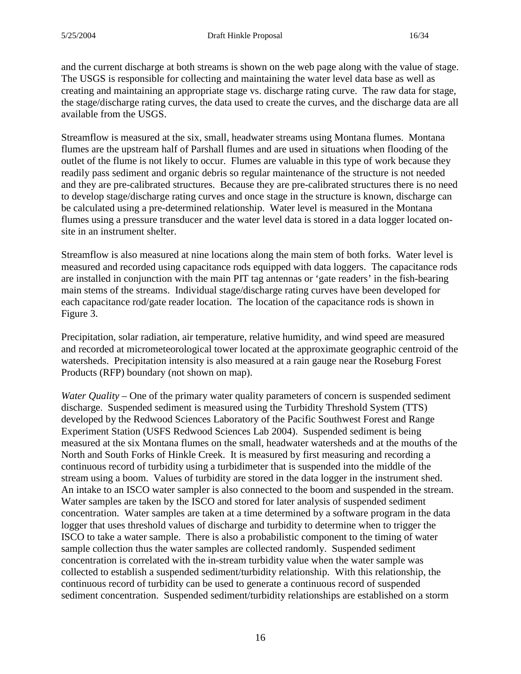and the current discharge at both streams is shown on the web page along with the value of stage. The USGS is responsible for collecting and maintaining the water level data base as well as creating and maintaining an appropriate stage vs. discharge rating curve. The raw data for stage, the stage/discharge rating curves, the data used to create the curves, and the discharge data are all available from the USGS.

Streamflow is measured at the six, small, headwater streams using Montana flumes. Montana flumes are the upstream half of Parshall flumes and are used in situations when flooding of the outlet of the flume is not likely to occur. Flumes are valuable in this type of work because they readily pass sediment and organic debris so regular maintenance of the structure is not needed and they are pre-calibrated structures. Because they are pre-calibrated structures there is no need to develop stage/discharge rating curves and once stage in the structure is known, discharge can be calculated using a pre-determined relationship. Water level is measured in the Montana flumes using a pressure transducer and the water level data is stored in a data logger located onsite in an instrument shelter.

Streamflow is also measured at nine locations along the main stem of both forks. Water level is measured and recorded using capacitance rods equipped with data loggers. The capacitance rods are installed in conjunction with the main PIT tag antennas or 'gate readers' in the fish-bearing main stems of the streams. Individual stage/discharge rating curves have been developed for each capacitance rod/gate reader location. The location of the capacitance rods is shown in Figure 3.

Precipitation, solar radiation, air temperature, relative humidity, and wind speed are measured and recorded at micrometeorological tower located at the approximate geographic centroid of the watersheds. Precipitation intensity is also measured at a rain gauge near the Roseburg Forest Products (RFP) boundary (not shown on map).

*Water Quality* – One of the primary water quality parameters of concern is suspended sediment discharge. Suspended sediment is measured using the Turbidity Threshold System (TTS) developed by the Redwood Sciences Laboratory of the Pacific Southwest Forest and Range Experiment Station (USFS Redwood Sciences Lab 2004). Suspended sediment is being measured at the six Montana flumes on the small, headwater watersheds and at the mouths of the North and South Forks of Hinkle Creek. It is measured by first measuring and recording a continuous record of turbidity using a turbidimeter that is suspended into the middle of the stream using a boom. Values of turbidity are stored in the data logger in the instrument shed. An intake to an ISCO water sampler is also connected to the boom and suspended in the stream. Water samples are taken by the ISCO and stored for later analysis of suspended sediment concentration. Water samples are taken at a time determined by a software program in the data logger that uses threshold values of discharge and turbidity to determine when to trigger the ISCO to take a water sample. There is also a probabilistic component to the timing of water sample collection thus the water samples are collected randomly. Suspended sediment concentration is correlated with the in-stream turbidity value when the water sample was collected to establish a suspended sediment/turbidity relationship. With this relationship, the continuous record of turbidity can be used to generate a continuous record of suspended sediment concentration. Suspended sediment/turbidity relationships are established on a storm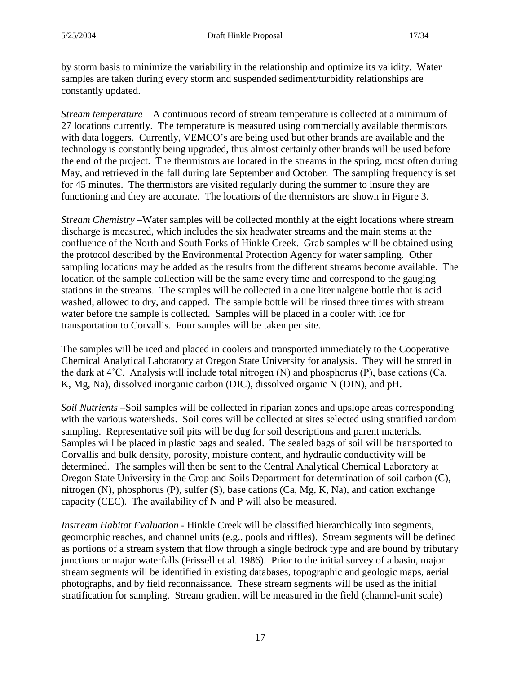by storm basis to minimize the variability in the relationship and optimize its validity. Water samples are taken during every storm and suspended sediment/turbidity relationships are constantly updated.

*Stream temperature* – A continuous record of stream temperature is collected at a minimum of 27 locations currently. The temperature is measured using commercially available thermistors with data loggers. Currently, VEMCO's are being used but other brands are available and the technology is constantly being upgraded, thus almost certainly other brands will be used before the end of the project. The thermistors are located in the streams in the spring, most often during May, and retrieved in the fall during late September and October. The sampling frequency is set for 45 minutes. The thermistors are visited regularly during the summer to insure they are functioning and they are accurate. The locations of the thermistors are shown in Figure 3.

*Stream Chemistry –*Water samples will be collected monthly at the eight locations where stream discharge is measured, which includes the six headwater streams and the main stems at the confluence of the North and South Forks of Hinkle Creek. Grab samples will be obtained using the protocol described by the Environmental Protection Agency for water sampling. Other sampling locations may be added as the results from the different streams become available. The location of the sample collection will be the same every time and correspond to the gauging stations in the streams. The samples will be collected in a one liter nalgene bottle that is acid washed, allowed to dry, and capped. The sample bottle will be rinsed three times with stream water before the sample is collected. Samples will be placed in a cooler with ice for transportation to Corvallis. Four samples will be taken per site.

The samples will be iced and placed in coolers and transported immediately to the Cooperative Chemical Analytical Laboratory at Oregon State University for analysis. They will be stored in the dark at 4˚C. Analysis will include total nitrogen (N) and phosphorus (P), base cations (Ca, K, Mg, Na), dissolved inorganic carbon (DIC), dissolved organic N (DIN), and pH.

*Soil Nutrients –*Soil samples will be collected in riparian zones and upslope areas corresponding with the various watersheds. Soil cores will be collected at sites selected using stratified random sampling. Representative soil pits will be dug for soil descriptions and parent materials. Samples will be placed in plastic bags and sealed. The sealed bags of soil will be transported to Corvallis and bulk density, porosity, moisture content, and hydraulic conductivity will be determined. The samples will then be sent to the Central Analytical Chemical Laboratory at Oregon State University in the Crop and Soils Department for determination of soil carbon (C), nitrogen (N), phosphorus (P), sulfer (S), base cations (Ca, Mg, K, Na), and cation exchange capacity (CEC). The availability of N and P will also be measured.

*Instream Habitat Evaluation -* Hinkle Creek will be classified hierarchically into segments, geomorphic reaches, and channel units (e.g., pools and riffles). Stream segments will be defined as portions of a stream system that flow through a single bedrock type and are bound by tributary junctions or major waterfalls (Frissell et al. 1986). Prior to the initial survey of a basin, major stream segments will be identified in existing databases, topographic and geologic maps, aerial photographs, and by field reconnaissance. These stream segments will be used as the initial stratification for sampling. Stream gradient will be measured in the field (channel-unit scale)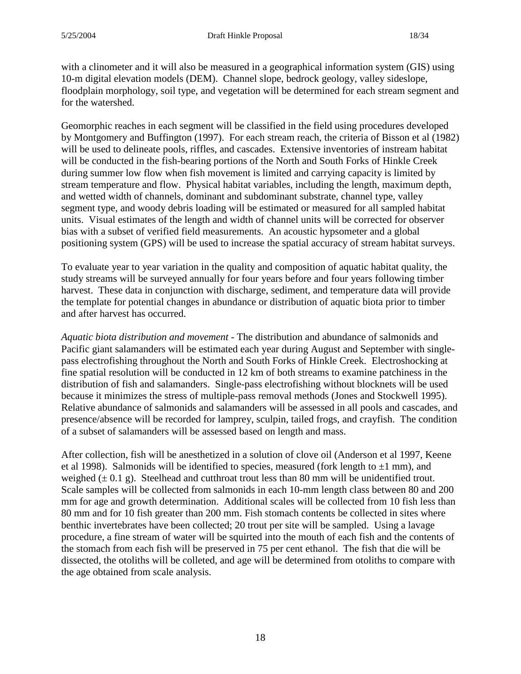with a clinometer and it will also be measured in a geographical information system (GIS) using 10-m digital elevation models (DEM). Channel slope, bedrock geology, valley sideslope, floodplain morphology, soil type, and vegetation will be determined for each stream segment and for the watershed.

Geomorphic reaches in each segment will be classified in the field using procedures developed by Montgomery and Buffington (1997). For each stream reach, the criteria of Bisson et al (1982) will be used to delineate pools, riffles, and cascades. Extensive inventories of instream habitat will be conducted in the fish-bearing portions of the North and South Forks of Hinkle Creek during summer low flow when fish movement is limited and carrying capacity is limited by stream temperature and flow. Physical habitat variables, including the length, maximum depth, and wetted width of channels, dominant and subdominant substrate, channel type, valley segment type, and woody debris loading will be estimated or measured for all sampled habitat units. Visual estimates of the length and width of channel units will be corrected for observer bias with a subset of verified field measurements. An acoustic hypsometer and a global positioning system (GPS) will be used to increase the spatial accuracy of stream habitat surveys.

To evaluate year to year variation in the quality and composition of aquatic habitat quality, the study streams will be surveyed annually for four years before and four years following timber harvest. These data in conjunction with discharge, sediment, and temperature data will provide the template for potential changes in abundance or distribution of aquatic biota prior to timber and after harvest has occurred.

*Aquatic biota distribution and movement -* The distribution and abundance of salmonids and Pacific giant salamanders will be estimated each year during August and September with singlepass electrofishing throughout the North and South Forks of Hinkle Creek. Electroshocking at fine spatial resolution will be conducted in 12 km of both streams to examine patchiness in the distribution of fish and salamanders. Single-pass electrofishing without blocknets will be used because it minimizes the stress of multiple-pass removal methods (Jones and Stockwell 1995). Relative abundance of salmonids and salamanders will be assessed in all pools and cascades, and presence/absence will be recorded for lamprey, sculpin, tailed frogs, and crayfish. The condition of a subset of salamanders will be assessed based on length and mass.

After collection, fish will be anesthetized in a solution of clove oil (Anderson et al 1997, Keene et al 1998). Salmonids will be identified to species, measured (fork length to  $\pm 1$  mm), and weighed  $(\pm 0.1 \text{ g})$ . Steelhead and cutthroat trout less than 80 mm will be unidentified trout. Scale samples will be collected from salmonids in each 10-mm length class between 80 and 200 mm for age and growth determination. Additional scales will be collected from 10 fish less than 80 mm and for 10 fish greater than 200 mm. Fish stomach contents be collected in sites where benthic invertebrates have been collected; 20 trout per site will be sampled. Using a lavage procedure, a fine stream of water will be squirted into the mouth of each fish and the contents of the stomach from each fish will be preserved in 75 per cent ethanol. The fish that die will be dissected, the otoliths will be colleted, and age will be determined from otoliths to compare with the age obtained from scale analysis.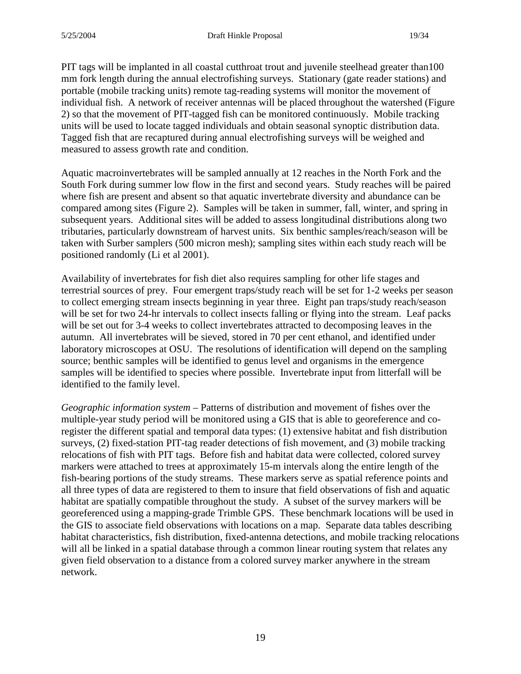PIT tags will be implanted in all coastal cutthroat trout and juvenile steelhead greater than100 mm fork length during the annual electrofishing surveys. Stationary (gate reader stations) and portable (mobile tracking units) remote tag-reading systems will monitor the movement of individual fish. A network of receiver antennas will be placed throughout the watershed (Figure 2) so that the movement of PIT-tagged fish can be monitored continuously. Mobile tracking units will be used to locate tagged individuals and obtain seasonal synoptic distribution data. Tagged fish that are recaptured during annual electrofishing surveys will be weighed and measured to assess growth rate and condition.

Aquatic macroinvertebrates will be sampled annually at 12 reaches in the North Fork and the South Fork during summer low flow in the first and second years. Study reaches will be paired where fish are present and absent so that aquatic invertebrate diversity and abundance can be compared among sites (Figure 2). Samples will be taken in summer, fall, winter, and spring in subsequent years. Additional sites will be added to assess longitudinal distributions along two tributaries, particularly downstream of harvest units. Six benthic samples/reach/season will be taken with Surber samplers (500 micron mesh); sampling sites within each study reach will be positioned randomly (Li et al 2001).

Availability of invertebrates for fish diet also requires sampling for other life stages and terrestrial sources of prey. Four emergent traps/study reach will be set for 1-2 weeks per season to collect emerging stream insects beginning in year three. Eight pan traps/study reach/season will be set for two 24-hr intervals to collect insects falling or flying into the stream. Leaf packs will be set out for 3-4 weeks to collect invertebrates attracted to decomposing leaves in the autumn. All invertebrates will be sieved, stored in 70 per cent ethanol, and identified under laboratory microscopes at OSU. The resolutions of identification will depend on the sampling source; benthic samples will be identified to genus level and organisms in the emergence samples will be identified to species where possible. Invertebrate input from litterfall will be identified to the family level.

*Geographic information system* – Patterns of distribution and movement of fishes over the multiple-year study period will be monitored using a GIS that is able to georeference and coregister the different spatial and temporal data types: (1) extensive habitat and fish distribution surveys, (2) fixed-station PIT-tag reader detections of fish movement, and (3) mobile tracking relocations of fish with PIT tags. Before fish and habitat data were collected, colored survey markers were attached to trees at approximately 15-m intervals along the entire length of the fish-bearing portions of the study streams. These markers serve as spatial reference points and all three types of data are registered to them to insure that field observations of fish and aquatic habitat are spatially compatible throughout the study. A subset of the survey markers will be georeferenced using a mapping-grade Trimble GPS. These benchmark locations will be used in the GIS to associate field observations with locations on a map. Separate data tables describing habitat characteristics, fish distribution, fixed-antenna detections, and mobile tracking relocations will all be linked in a spatial database through a common linear routing system that relates any given field observation to a distance from a colored survey marker anywhere in the stream network.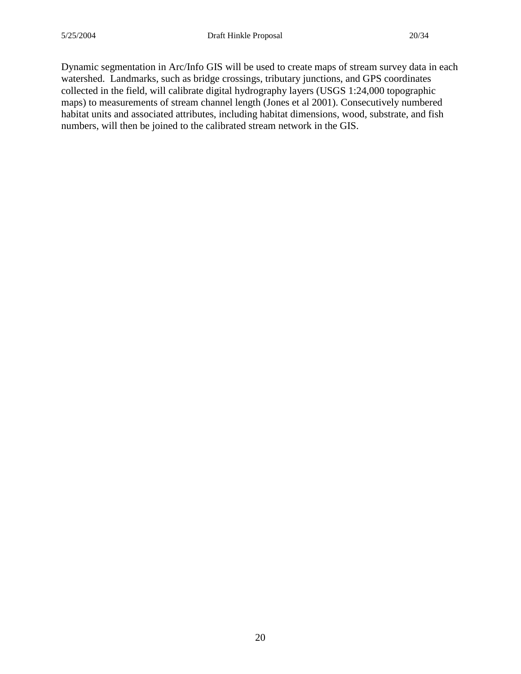Dynamic segmentation in Arc/Info GIS will be used to create maps of stream survey data in each watershed. Landmarks, such as bridge crossings, tributary junctions, and GPS coordinates collected in the field, will calibrate digital hydrography layers (USGS 1:24,000 topographic maps) to measurements of stream channel length (Jones et al 2001). Consecutively numbered habitat units and associated attributes, including habitat dimensions, wood, substrate, and fish numbers, will then be joined to the calibrated stream network in the GIS.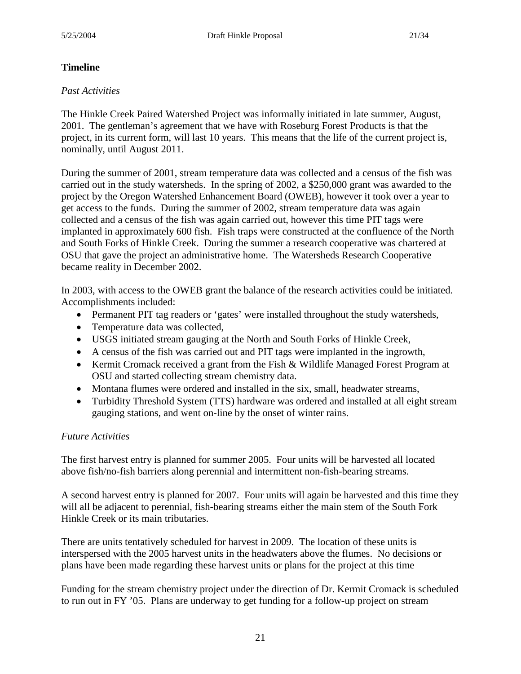## **Timeline**

## *Past Activities*

The Hinkle Creek Paired Watershed Project was informally initiated in late summer, August, 2001. The gentleman's agreement that we have with Roseburg Forest Products is that the project, in its current form, will last 10 years. This means that the life of the current project is, nominally, until August 2011.

During the summer of 2001, stream temperature data was collected and a census of the fish was carried out in the study watersheds. In the spring of 2002, a \$250,000 grant was awarded to the project by the Oregon Watershed Enhancement Board (OWEB), however it took over a year to get access to the funds. During the summer of 2002, stream temperature data was again collected and a census of the fish was again carried out, however this time PIT tags were implanted in approximately 600 fish. Fish traps were constructed at the confluence of the North and South Forks of Hinkle Creek. During the summer a research cooperative was chartered at OSU that gave the project an administrative home. The Watersheds Research Cooperative became reality in December 2002.

In 2003, with access to the OWEB grant the balance of the research activities could be initiated. Accomplishments included:

- Permanent PIT tag readers or 'gates' were installed throughout the study watersheds,
- Temperature data was collected,
- USGS initiated stream gauging at the North and South Forks of Hinkle Creek,
- A census of the fish was carried out and PIT tags were implanted in the ingrowth,
- Kermit Cromack received a grant from the Fish & Wildlife Managed Forest Program at OSU and started collecting stream chemistry data.
- Montana flumes were ordered and installed in the six, small, headwater streams,
- Turbidity Threshold System (TTS) hardware was ordered and installed at all eight stream gauging stations, and went on-line by the onset of winter rains.

## *Future Activities*

The first harvest entry is planned for summer 2005. Four units will be harvested all located above fish/no-fish barriers along perennial and intermittent non-fish-bearing streams.

A second harvest entry is planned for 2007. Four units will again be harvested and this time they will all be adjacent to perennial, fish-bearing streams either the main stem of the South Fork Hinkle Creek or its main tributaries.

There are units tentatively scheduled for harvest in 2009. The location of these units is interspersed with the 2005 harvest units in the headwaters above the flumes. No decisions or plans have been made regarding these harvest units or plans for the project at this time

Funding for the stream chemistry project under the direction of Dr. Kermit Cromack is scheduled to run out in FY '05. Plans are underway to get funding for a follow-up project on stream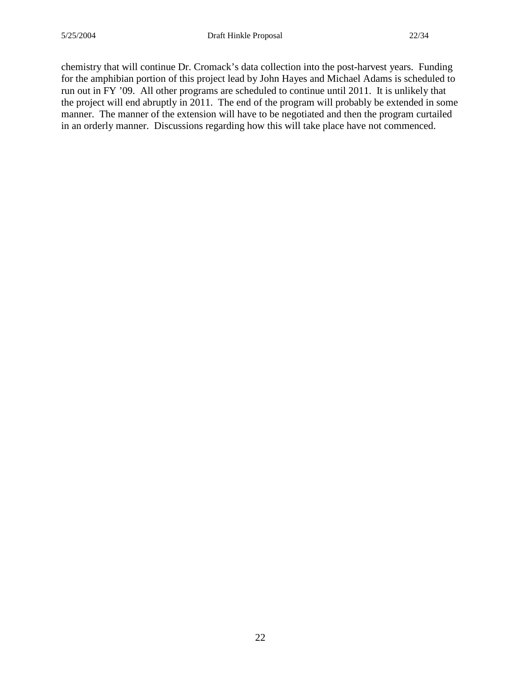chemistry that will continue Dr. Cromack's data collection into the post-harvest years. Funding for the amphibian portion of this project lead by John Hayes and Michael Adams is scheduled to run out in FY '09. All other programs are scheduled to continue until 2011. It is unlikely that the project will end abruptly in 2011. The end of the program will probably be extended in some manner. The manner of the extension will have to be negotiated and then the program curtailed in an orderly manner. Discussions regarding how this will take place have not commenced.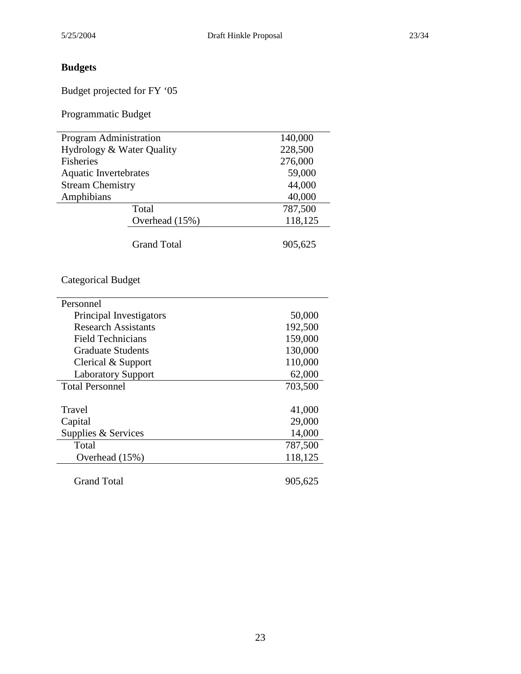# **Budgets**

Budget projected for FY '05

Programmatic Budget

| Program Administration       |                    | 140,000 |
|------------------------------|--------------------|---------|
| Hydrology & Water Quality    |                    | 228,500 |
| <b>Fisheries</b>             |                    | 276,000 |
| <b>Aquatic Invertebrates</b> |                    | 59,000  |
| <b>Stream Chemistry</b>      |                    | 44,000  |
| Amphibians                   |                    | 40,000  |
|                              | Total              | 787,500 |
|                              | Overhead (15%)     | 118,125 |
|                              | <b>Grand Total</b> | 905,625 |
| <b>Categorical Budget</b>    |                    |         |
| Personnel                    |                    |         |
| Principal Investigators      |                    | 50,000  |
| <b>Research Assistants</b>   |                    | 192,500 |
| <b>Field Technicians</b>     |                    | 159,000 |
| <b>Graduate Students</b>     |                    | 130,000 |
| Clerical & Support           |                    | 110,000 |
| <b>Laboratory Support</b>    |                    | 62,000  |
| <b>Total Personnel</b>       |                    | 703,500 |
| Travel                       |                    | 41,000  |
| Capital                      |                    | 29,000  |
| Supplies & Services          |                    | 14,000  |
| Total                        |                    | 787,500 |
| Overhead (15%)               |                    | 118,125 |
| <b>Grand Total</b>           |                    | 905,625 |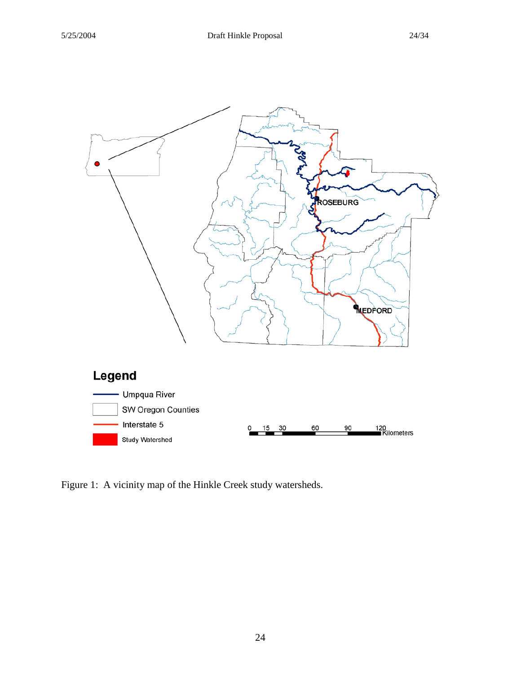

Figure 1: A vicinity map of the Hinkle Creek study watersheds.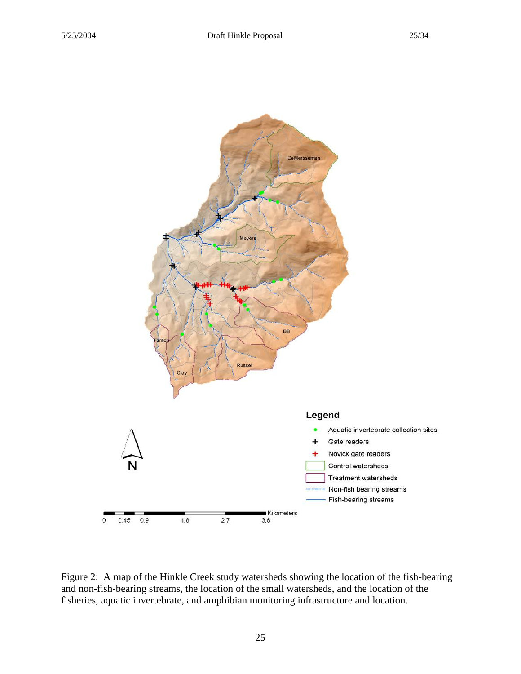

Figure 2: A map of the Hinkle Creek study watersheds showing the location of the fish-bearing and non-fish-bearing streams, the location of the small watersheds, and the location of the fisheries, aquatic invertebrate, and amphibian monitoring infrastructure and location.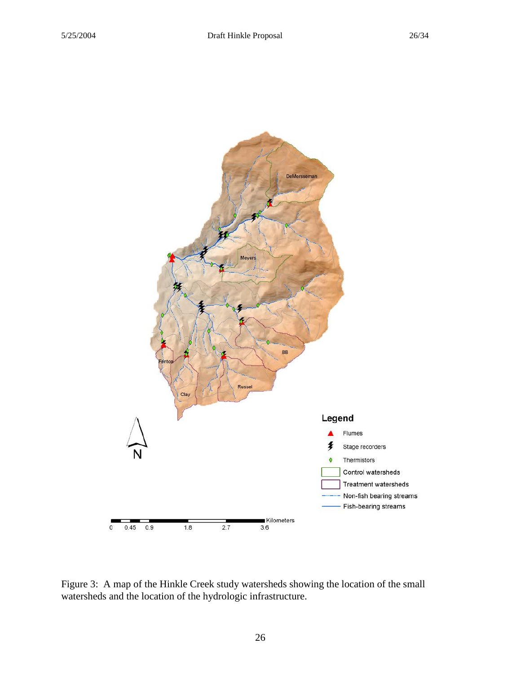

Figure 3: A map of the Hinkle Creek study watersheds showing the location of the small watersheds and the location of the hydrologic infrastructure.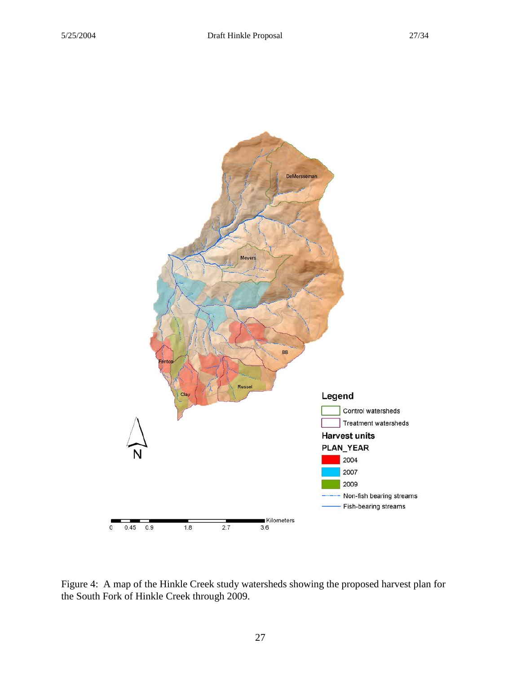

Figure 4: A map of the Hinkle Creek study watersheds showing the proposed harvest plan for the South Fork of Hinkle Creek through 2009.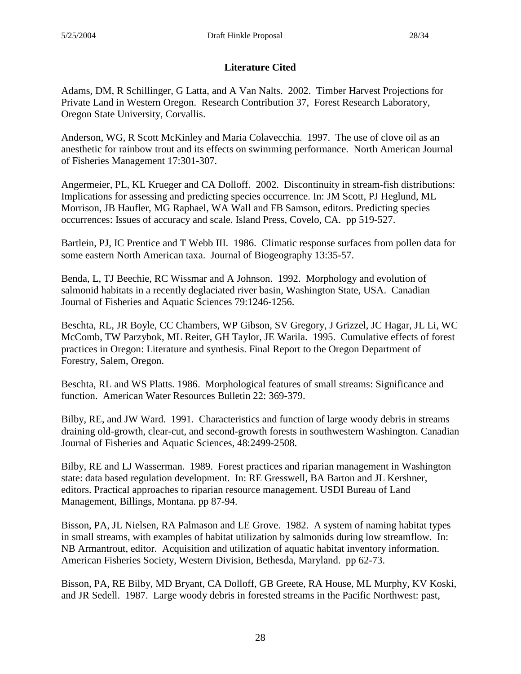# **Literature Cited**

Adams, DM, R Schillinger, G Latta, and A Van Nalts. 2002. Timber Harvest Projections for Private Land in Western Oregon. Research Contribution 37, Forest Research Laboratory, Oregon State University, Corvallis.

Anderson, WG, R Scott McKinley and Maria Colavecchia. 1997. The use of clove oil as an anesthetic for rainbow trout and its effects on swimming performance. North American Journal of Fisheries Management 17:301-307.

Angermeier, PL, KL Krueger and CA Dolloff. 2002. Discontinuity in stream-fish distributions: Implications for assessing and predicting species occurrence. In: JM Scott, PJ Heglund, ML Morrison, JB Haufler, MG Raphael, WA Wall and FB Samson, editors. Predicting species occurrences: Issues of accuracy and scale. Island Press, Covelo, CA. pp 519-527.

Bartlein, PJ, IC Prentice and T Webb III. 1986. Climatic response surfaces from pollen data for some eastern North American taxa. Journal of Biogeography 13:35-57.

Benda, L, TJ Beechie, RC Wissmar and A Johnson. 1992. Morphology and evolution of salmonid habitats in a recently deglaciated river basin, Washington State, USA. Canadian Journal of Fisheries and Aquatic Sciences 79:1246-1256.

Beschta, RL, JR Boyle, CC Chambers, WP Gibson, SV Gregory, J Grizzel, JC Hagar, JL Li, WC McComb, TW Parzybok, ML Reiter, GH Taylor, JE Warila. 1995. Cumulative effects of forest practices in Oregon: Literature and synthesis. Final Report to the Oregon Department of Forestry, Salem, Oregon.

Beschta, RL and WS Platts. 1986. Morphological features of small streams: Significance and function. American Water Resources Bulletin 22: 369-379.

Bilby, RE, and JW Ward. 1991. Characteristics and function of large woody debris in streams draining old-growth, clear-cut, and second-growth forests in southwestern Washington. Canadian Journal of Fisheries and Aquatic Sciences, 48:2499-2508.

Bilby, RE and LJ Wasserman. 1989. Forest practices and riparian management in Washington state: data based regulation development. In: RE Gresswell, BA Barton and JL Kershner, editors. Practical approaches to riparian resource management. USDI Bureau of Land Management, Billings, Montana. pp 87-94.

Bisson, PA, JL Nielsen, RA Palmason and LE Grove. 1982. A system of naming habitat types in small streams, with examples of habitat utilization by salmonids during low streamflow. In: NB Armantrout, editor. Acquisition and utilization of aquatic habitat inventory information. American Fisheries Society, Western Division, Bethesda, Maryland. pp 62-73.

Bisson, PA, RE Bilby, MD Bryant, CA Dolloff, GB Greete, RA House, ML Murphy, KV Koski, and JR Sedell. 1987. Large woody debris in forested streams in the Pacific Northwest: past,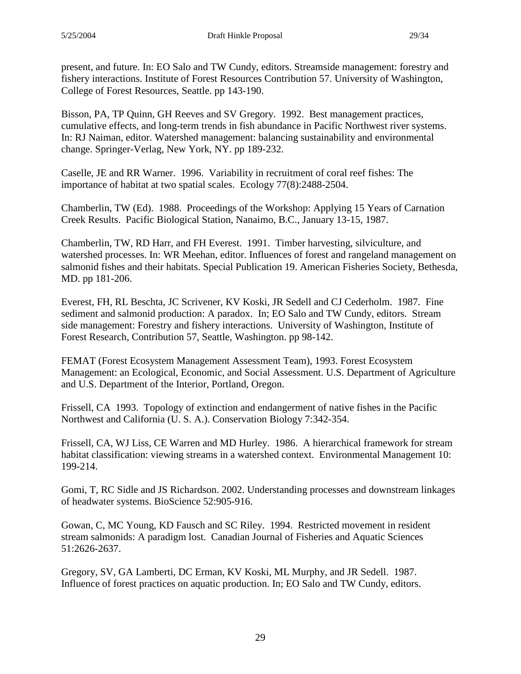present, and future. In: EO Salo and TW Cundy, editors. Streamside management: forestry and fishery interactions. Institute of Forest Resources Contribution 57. University of Washington, College of Forest Resources, Seattle. pp 143-190.

Bisson, PA, TP Quinn, GH Reeves and SV Gregory. 1992. Best management practices, cumulative effects, and long-term trends in fish abundance in Pacific Northwest river systems. In: RJ Naiman, editor. Watershed management: balancing sustainability and environmental change. Springer-Verlag, New York, NY. pp 189-232.

Caselle, JE and RR Warner. 1996. Variability in recruitment of coral reef fishes: The importance of habitat at two spatial scales. Ecology 77(8):2488-2504.

Chamberlin, TW (Ed). 1988. Proceedings of the Workshop: Applying 15 Years of Carnation Creek Results. Pacific Biological Station, Nanaimo, B.C., January 13-15, 1987.

Chamberlin, TW, RD Harr, and FH Everest. 1991. Timber harvesting, silviculture, and watershed processes. In: WR Meehan, editor. Influences of forest and rangeland management on salmonid fishes and their habitats. Special Publication 19. American Fisheries Society, Bethesda, MD. pp 181-206.

Everest, FH, RL Beschta, JC Scrivener, KV Koski, JR Sedell and CJ Cederholm. 1987. Fine sediment and salmonid production: A paradox. In; EO Salo and TW Cundy, editors. Stream side management: Forestry and fishery interactions. University of Washington, Institute of Forest Research, Contribution 57, Seattle, Washington. pp 98-142.

FEMAT (Forest Ecosystem Management Assessment Team), 1993. Forest Ecosystem Management: an Ecological, Economic, and Social Assessment. U.S. Department of Agriculture and U.S. Department of the Interior, Portland, Oregon.

Frissell, CA 1993. Topology of extinction and endangerment of native fishes in the Pacific Northwest and California (U. S. A.). Conservation Biology 7:342-354.

Frissell, CA, WJ Liss, CE Warren and MD Hurley. 1986. A hierarchical framework for stream habitat classification: viewing streams in a watershed context. Environmental Management 10: 199-214.

Gomi, T, RC Sidle and JS Richardson. 2002. Understanding processes and downstream linkages of headwater systems. BioScience 52:905-916.

Gowan, C, MC Young, KD Fausch and SC Riley. 1994. Restricted movement in resident stream salmonids: A paradigm lost. Canadian Journal of Fisheries and Aquatic Sciences 51:2626-2637.

Gregory, SV, GA Lamberti, DC Erman, KV Koski, ML Murphy, and JR Sedell. 1987. Influence of forest practices on aquatic production. In; EO Salo and TW Cundy, editors.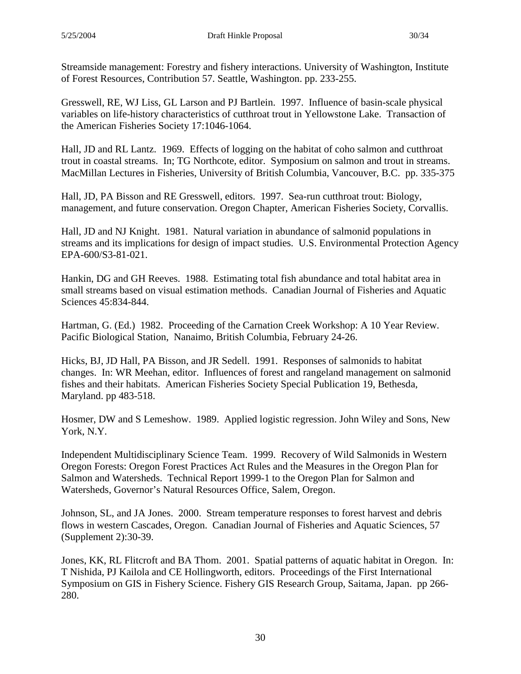Streamside management: Forestry and fishery interactions. University of Washington, Institute of Forest Resources, Contribution 57. Seattle, Washington. pp. 233-255.

Gresswell, RE, WJ Liss, GL Larson and PJ Bartlein. 1997. Influence of basin-scale physical variables on life-history characteristics of cutthroat trout in Yellowstone Lake. Transaction of the American Fisheries Society 17:1046-1064.

Hall, JD and RL Lantz. 1969. Effects of logging on the habitat of coho salmon and cutthroat trout in coastal streams. In; TG Northcote, editor. Symposium on salmon and trout in streams. MacMillan Lectures in Fisheries, University of British Columbia, Vancouver, B.C. pp. 335-375

Hall, JD, PA Bisson and RE Gresswell, editors. 1997. Sea-run cutthroat trout: Biology, management, and future conservation. Oregon Chapter, American Fisheries Society, Corvallis.

Hall, JD and NJ Knight. 1981. Natural variation in abundance of salmonid populations in streams and its implications for design of impact studies. U.S. Environmental Protection Agency EPA-600/S3-81-021.

Hankin, DG and GH Reeves. 1988. Estimating total fish abundance and total habitat area in small streams based on visual estimation methods. Canadian Journal of Fisheries and Aquatic Sciences 45:834-844.

Hartman, G. (Ed.) 1982. Proceeding of the Carnation Creek Workshop: A 10 Year Review. Pacific Biological Station, Nanaimo, British Columbia, February 24-26.

Hicks, BJ, JD Hall, PA Bisson, and JR Sedell. 1991. Responses of salmonids to habitat changes. In: WR Meehan, editor. Influences of forest and rangeland management on salmonid fishes and their habitats. American Fisheries Society Special Publication 19, Bethesda, Maryland. pp 483-518.

Hosmer, DW and S Lemeshow. 1989. Applied logistic regression. John Wiley and Sons, New York, N.Y.

Independent Multidisciplinary Science Team. 1999. Recovery of Wild Salmonids in Western Oregon Forests: Oregon Forest Practices Act Rules and the Measures in the Oregon Plan for Salmon and Watersheds. Technical Report 1999-1 to the Oregon Plan for Salmon and Watersheds, Governor's Natural Resources Office, Salem, Oregon.

Johnson, SL, and JA Jones. 2000. Stream temperature responses to forest harvest and debris flows in western Cascades, Oregon. Canadian Journal of Fisheries and Aquatic Sciences, 57 (Supplement 2):30-39.

Jones, KK, RL Flitcroft and BA Thom. 2001. Spatial patterns of aquatic habitat in Oregon. In: T Nishida, PJ Kailola and CE Hollingworth, editors. Proceedings of the First International Symposium on GIS in Fishery Science. Fishery GIS Research Group, Saitama, Japan. pp 266- 280.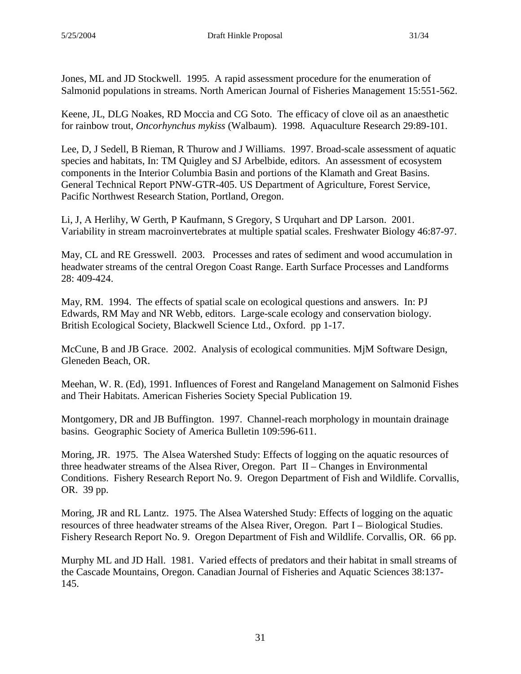Jones, ML and JD Stockwell. 1995. A rapid assessment procedure for the enumeration of Salmonid populations in streams. North American Journal of Fisheries Management 15:551-562.

Keene, JL, DLG Noakes, RD Moccia and CG Soto. The efficacy of clove oil as an anaesthetic for rainbow trout, *Oncorhynchus mykiss* (Walbaum). 1998. Aquaculture Research 29:89-101.

Lee, D, J Sedell, B Rieman, R Thurow and J Williams. 1997. Broad-scale assessment of aquatic species and habitats, In: TM Quigley and SJ Arbelbide, editors. An assessment of ecosystem components in the Interior Columbia Basin and portions of the Klamath and Great Basins. General Technical Report PNW-GTR-405. US Department of Agriculture, Forest Service, Pacific Northwest Research Station, Portland, Oregon.

Li, J, A Herlihy, W Gerth, P Kaufmann, S Gregory, S Urquhart and DP Larson. 2001. Variability in stream macroinvertebrates at multiple spatial scales. Freshwater Biology 46:87-97.

May, CL and RE Gresswell. 2003. Processes and rates of sediment and wood accumulation in headwater streams of the central Oregon Coast Range. Earth Surface Processes and Landforms 28: 409-424.

May, RM. 1994. The effects of spatial scale on ecological questions and answers. In: PJ Edwards, RM May and NR Webb, editors. Large-scale ecology and conservation biology. British Ecological Society, Blackwell Science Ltd., Oxford. pp 1-17.

McCune, B and JB Grace. 2002. Analysis of ecological communities. MjM Software Design, Gleneden Beach, OR.

Meehan, W. R. (Ed), 1991. Influences of Forest and Rangeland Management on Salmonid Fishes and Their Habitats. American Fisheries Society Special Publication 19.

Montgomery, DR and JB Buffington. 1997. Channel-reach morphology in mountain drainage basins. Geographic Society of America Bulletin 109:596-611.

Moring, JR. 1975. The Alsea Watershed Study: Effects of logging on the aquatic resources of three headwater streams of the Alsea River, Oregon. Part II – Changes in Environmental Conditions. Fishery Research Report No. 9. Oregon Department of Fish and Wildlife. Corvallis, OR. 39 pp.

Moring, JR and RL Lantz. 1975. The Alsea Watershed Study: Effects of logging on the aquatic resources of three headwater streams of the Alsea River, Oregon. Part I – Biological Studies. Fishery Research Report No. 9. Oregon Department of Fish and Wildlife. Corvallis, OR. 66 pp.

Murphy ML and JD Hall. 1981. Varied effects of predators and their habitat in small streams of the Cascade Mountains, Oregon. Canadian Journal of Fisheries and Aquatic Sciences 38:137- 145.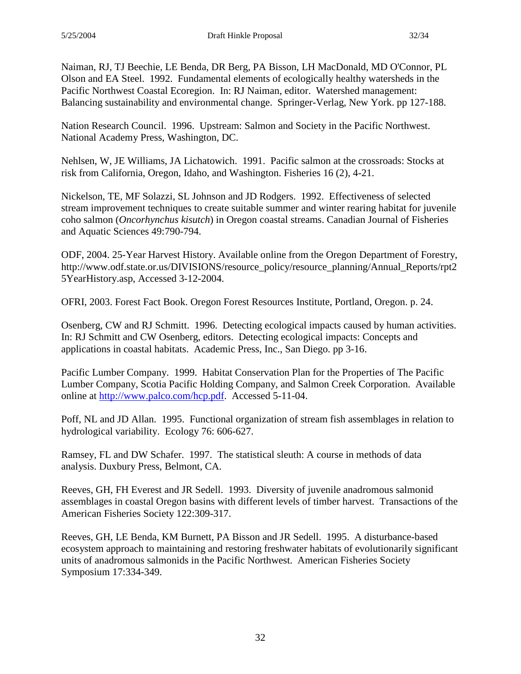Naiman, RJ, TJ Beechie, LE Benda, DR Berg, PA Bisson, LH MacDonald, MD O'Connor, PL Olson and EA Steel. 1992. Fundamental elements of ecologically healthy watersheds in the Pacific Northwest Coastal Ecoregion. In: RJ Naiman, editor. Watershed management: Balancing sustainability and environmental change. Springer-Verlag, New York. pp 127-188.

Nation Research Council. 1996. Upstream: Salmon and Society in the Pacific Northwest. National Academy Press, Washington, DC.

Nehlsen, W, JE Williams, JA Lichatowich. 1991. Pacific salmon at the crossroads: Stocks at risk from California, Oregon, Idaho, and Washington. Fisheries 16 (2), 4-21.

Nickelson, TE, MF Solazzi, SL Johnson and JD Rodgers. 1992. Effectiveness of selected stream improvement techniques to create suitable summer and winter rearing habitat for juvenile coho salmon (*Oncorhynchus kisutch*) in Oregon coastal streams. Canadian Journal of Fisheries and Aquatic Sciences 49:790-794.

ODF, 2004. 25-Year Harvest History. Available online from the Oregon Department of Forestry, http://www.odf.state.or.us/DIVISIONS/resource\_policy/resource\_planning/Annual\_Reports/rpt2 5YearHistory.asp, Accessed 3-12-2004.

OFRI, 2003. Forest Fact Book. Oregon Forest Resources Institute, Portland, Oregon. p. 24.

Osenberg, CW and RJ Schmitt. 1996. Detecting ecological impacts caused by human activities. In: RJ Schmitt and CW Osenberg, editors. Detecting ecological impacts: Concepts and applications in coastal habitats. Academic Press, Inc., San Diego. pp 3-16.

Pacific Lumber Company. 1999. Habitat Conservation Plan for the Properties of The Pacific Lumber Company, Scotia Pacific Holding Company, and Salmon Creek Corporation. Available online at [http://www.palco.com/hcp.pdf.](http://www.palco.com/hcp.pdf) Accessed 5-11-04.

Poff, NL and JD Allan. 1995. Functional organization of stream fish assemblages in relation to hydrological variability. Ecology 76: 606-627.

Ramsey, FL and DW Schafer. 1997. The statistical sleuth: A course in methods of data analysis. Duxbury Press, Belmont, CA.

Reeves, GH, FH Everest and JR Sedell. 1993. Diversity of juvenile anadromous salmonid assemblages in coastal Oregon basins with different levels of timber harvest. Transactions of the American Fisheries Society 122:309-317.

Reeves, GH, LE Benda, KM Burnett, PA Bisson and JR Sedell. 1995. A disturbance-based ecosystem approach to maintaining and restoring freshwater habitats of evolutionarily significant units of anadromous salmonids in the Pacific Northwest. American Fisheries Society Symposium 17:334-349.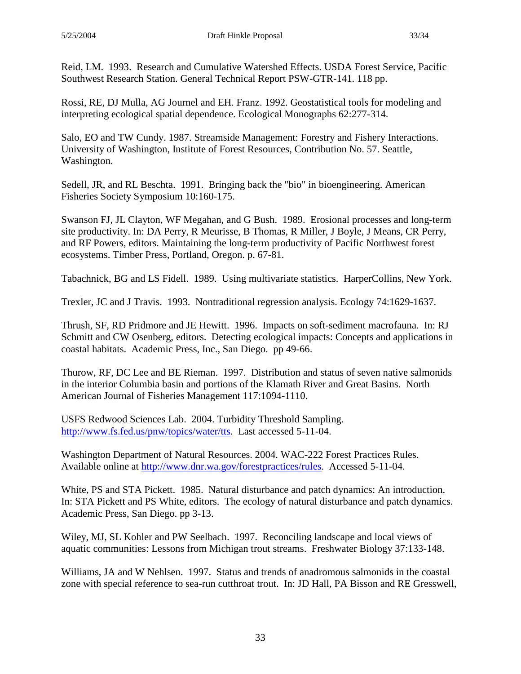Rossi, RE, DJ Mulla, AG Journel and EH. Franz. 1992. Geostatistical tools for modeling and interpreting ecological spatial dependence. Ecological Monographs 62:277-314.

Salo, EO and TW Cundy. 1987. Streamside Management: Forestry and Fishery Interactions. University of Washington, Institute of Forest Resources, Contribution No. 57. Seattle, Washington.

Sedell, JR, and RL Beschta. 1991. Bringing back the "bio" in bioengineering. American Fisheries Society Symposium 10:160-175.

Swanson FJ, JL Clayton, WF Megahan, and G Bush. 1989. Erosional processes and long-term site productivity. In: DA Perry, R Meurisse, B Thomas, R Miller, J Boyle, J Means, CR Perry, and RF Powers, editors. Maintaining the long-term productivity of Pacific Northwest forest ecosystems. Timber Press, Portland, Oregon. p. 67-81.

Tabachnick, BG and LS Fidell. 1989. Using multivariate statistics. HarperCollins, New York.

Trexler, JC and J Travis. 1993. Nontraditional regression analysis. Ecology 74:1629-1637.

Thrush, SF, RD Pridmore and JE Hewitt. 1996. Impacts on soft-sediment macrofauna. In: RJ Schmitt and CW Osenberg, editors. Detecting ecological impacts: Concepts and applications in coastal habitats. Academic Press, Inc., San Diego. pp 49-66.

Thurow, RF, DC Lee and BE Rieman. 1997. Distribution and status of seven native salmonids in the interior Columbia basin and portions of the Klamath River and Great Basins. North American Journal of Fisheries Management 117:1094-1110.

USFS Redwood Sciences Lab. 2004. Turbidity Threshold Sampling. [http://www.fs.fed.us/pnw/topics/water/tts.](http://www.fs.fed.us/pnw/topics/water/tts) Last accessed 5-11-04.

Washington Department of Natural Resources. 2004. WAC-222 Forest Practices Rules. Available online at [http://www.dnr.wa.gov/forestpractices/rules.](http://www.dnr.wa.gov/forestpractices/rules) Accessed 5-11-04.

White, PS and STA Pickett. 1985. Natural disturbance and patch dynamics: An introduction. In: STA Pickett and PS White, editors. The ecology of natural disturbance and patch dynamics. Academic Press, San Diego. pp 3-13.

Wiley, MJ, SL Kohler and PW Seelbach. 1997. Reconciling landscape and local views of aquatic communities: Lessons from Michigan trout streams. Freshwater Biology 37:133-148.

Williams, JA and W Nehlsen. 1997. Status and trends of anadromous salmonids in the coastal zone with special reference to sea-run cutthroat trout. In: JD Hall, PA Bisson and RE Gresswell,